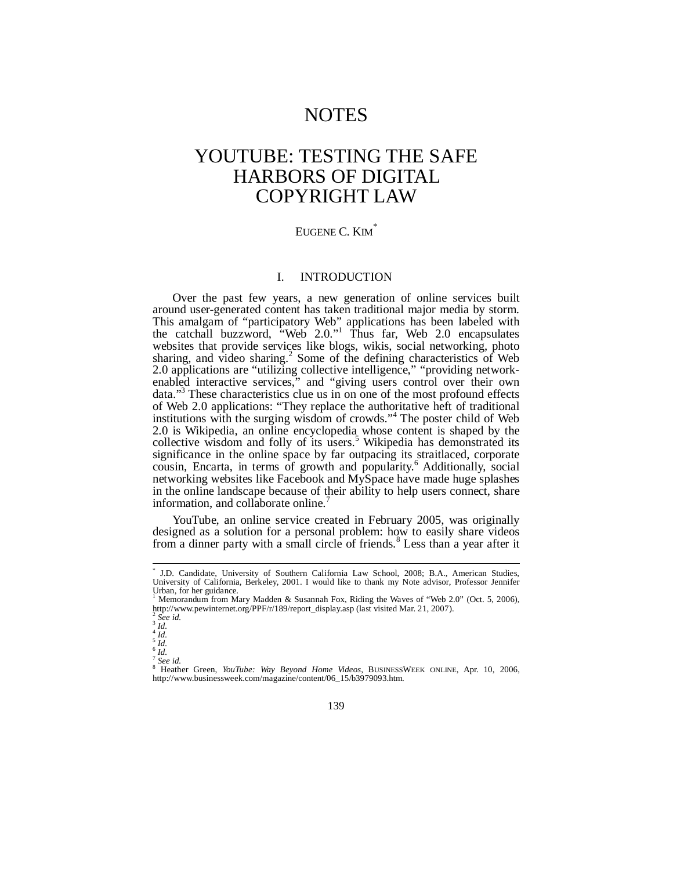# NOTES

# YOUTUBE: TESTING THE SAFE HARBORS OF DIGITAL COPYRIGHT LAW

# EUGENE C. KIM<sup>\*</sup>

## I. INTRODUCTION

Over the past few years, a new generation of online services built around user-generated content has taken traditional major media by storm. This amalgam of "participatory Web" applications has been labeled with the catchall buzzword, "Web 2.0."<sup>1</sup> Thus far, Web 2.0 encapsulates websites that provide services like blogs, wikis, social networking, photo sharing, and video sharing.<sup>2</sup> Some of the defining characteristics of Web 2.0 applications are "utilizing collective intelligence," "providing networkenabled interactive services," and "giving users control over their own data."<sup>3</sup> These characteristics clue us in on one of the most profound effects of Web 2.0 applications: "They replace the authoritative heft of traditional institutions with the surging wisdom of crowds."<sup>4</sup> The poster child of Web 2.0 is Wikipedia, an online encyclopedia whose content is shaped by the collective wisdom and folly of its users.<sup>5</sup> Wikipedia has demonstrated its significance in the online space by far outpacing its straitlaced, corporate cousin, Encarta, in terms of growth and popularity.<sup>6</sup> Additionally, social networking websites like Facebook and MySpace have made huge splashes in the online landscape because of their ability to help users connect, share information, and collaborate online.

YouTube, an online service created in February 2005, was originally designed as a solution for a personal problem: how to easily share videos from a dinner party with a small circle of friends.<sup>8</sup> Less than a year after it

<sup>\*</sup> J.D. Candidate, University of Southern California Law School, 2008; B.A., American Studies, University of California, Berkeley, 2001. I would like to thank my Note advisor, Professor Jennifer Urban, for her guidance.

Memorandum from Mary Madden & Susannah Fox, Riding the Waves of "Web 2.0" (Oct. 5, 2006), http://www.pewinternet.org/PPF/r/189/report\_display.asp (last visited Mar. 21, 2007).

<sup>2</sup> *See id.* 3 *Id.*

 $\frac{4}{1}$ *Id.* 

<sup>&</sup>lt;sup>5</sup> *Id.*<br><sup>6</sup> *Id.* 

*See id.*

<sup>8</sup> Heather Green, *YouTube: Way Beyond Home Videos*, BUSINESSWEEK ONLINE, Apr. 10, 2006, http://www.businessweek.com/magazine/content/06\_15/b3979093.htm.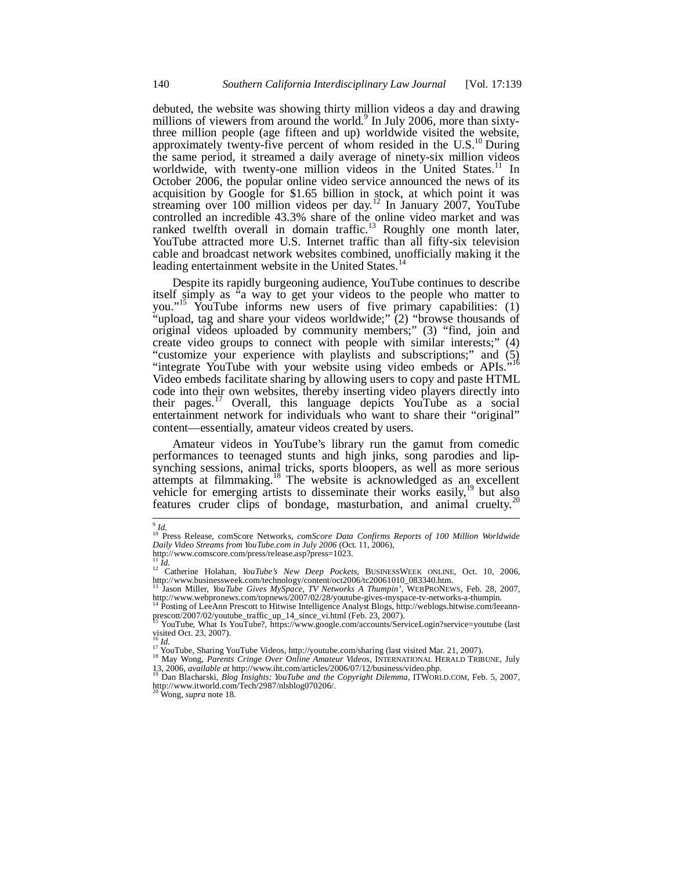debuted, the website was showing thirty million videos a day and drawing millions of viewers from around the world.<sup>9</sup> In July 2006, more than sixtythree million people (age fifteen and up) worldwide visited the website, approximately twenty-five percent of whom resided in the U.S.<sup>10</sup> During the same period, it streamed a daily average of ninety-six million videos worldwide, with twenty-one million videos in the United States.<sup>11</sup> In October 2006, the popular online video service announced the news of its acquisition by Google for \$1.65 billion in stock, at which point it was streaming over 100 million videos per day.<sup>12</sup> In January 2007, YouTube controlled an incredible 43.3% share of the online video market and was ranked twelfth overall in domain traffic.<sup>13</sup> Roughly one month later, YouTube attracted more U.S. Internet traffic than all fifty-six television cable and broadcast network websites combined, unofficially making it the leading entertainment website in the United States.<sup>14</sup>

Despite its rapidly burgeoning audience, YouTube continues to describe itself simply as "a way to get your videos to the people who matter to you."<sup>15</sup> YouTube informs new users of five primary capabilities: (1) "upload, tag and share your videos worldwide;" (2) "browse thousands of original videos uploaded by community members;" (3) "find, join and create video groups to connect with people with similar interests;" (4) "customize your experience with playlists and subscriptions;" and (5) "integrate YouTube with your website using video embeds or APIs."<sup>16</sup> Video embeds facilitate sharing by allowing users to copy and paste HTML code into their own websites, thereby inserting video players directly into their pages.<sup>17</sup> Overall, this language depicts YouTube as a social entertainment network for individuals who want to share their "original" content—essentially, amateur videos created by users.

Amateur videos in YouTube's library run the gamut from comedic performances to teenaged stunts and high jinks, song parodies and lipsynching sessions, animal tricks, sports bloopers, as well as more serious attempts at filmmaking.<sup>18</sup> The website is acknowledged as an excellent whicle for emerging artists to disseminate their works easily,<sup>19</sup> but also features cruder clips of bondage, masturbation, and animal cruelty.<sup>20</sup>

<sup>9</sup> *Id.* <sup>10</sup> Press Release, comScore Networks, *comScore Data Confirms Reports of 100 Million Worldwide Daily Video Streams from YouTube.com in July 2006* (Oct. 11, 2006), http://www.comscore.com/press/release.asp?press=1023.

<sup>11</sup> *Id.* <sup>12</sup> Catherine Holahan, *YouTube's New Deep Pockets*, BUSINESSWEEK ONLINE, Oct. 10, 2006, http://www.businessweek.com/technology/content/oct2006/tc20061010\_083340.htm.

<sup>&</sup>lt;sup>13</sup> Jason Miller, *YouTube Gives MySpace, TV Networks A Thumpin*', WEBPRONEWS, Feb. 28, 2007,<br>http://www.webpronews.com/topnews/2007/02/28/youtube-gives-myspace-tv-networks-a-thumpin.<br><sup>14</sup> Posting of LeeAnn Prescott to Hi

prescott/2007/02/youtube\_traffic\_up\_14\_since\_vi.html (Feb. 23, 2007).<br><sup>15</sup> YouTube, What Is YouTube?, https://www.google.com/accounts/ServiceLogin?service=youtube (last visited Oct. 23, 2007).<br><sup>16</sup> *Id.*<br><sup>17</sup> YouTube, Sharing YouTube Videos, http://youtube.com/sharing (last visited Mar. 21, 2007).

<sup>&</sup>lt;sup>18</sup> May Wong, *Parents Cringe Over Online Amateur Videos*, INTERNATIONAL HERALD TRIBUNE, July 13, 2006, *available at* http://www.iht.com/articles/2006/07/12/business/video.php. <sup>19</sup> Dan Blacharski, *Blog Insights: YouTube and the Copyright Dilemma*, ITWORLD.COM, Feb. 5, 2007,

http://www.itworld.com/Tech/2987/nlsblog070206/. <sup>20</sup> Wong, *supra* note 18.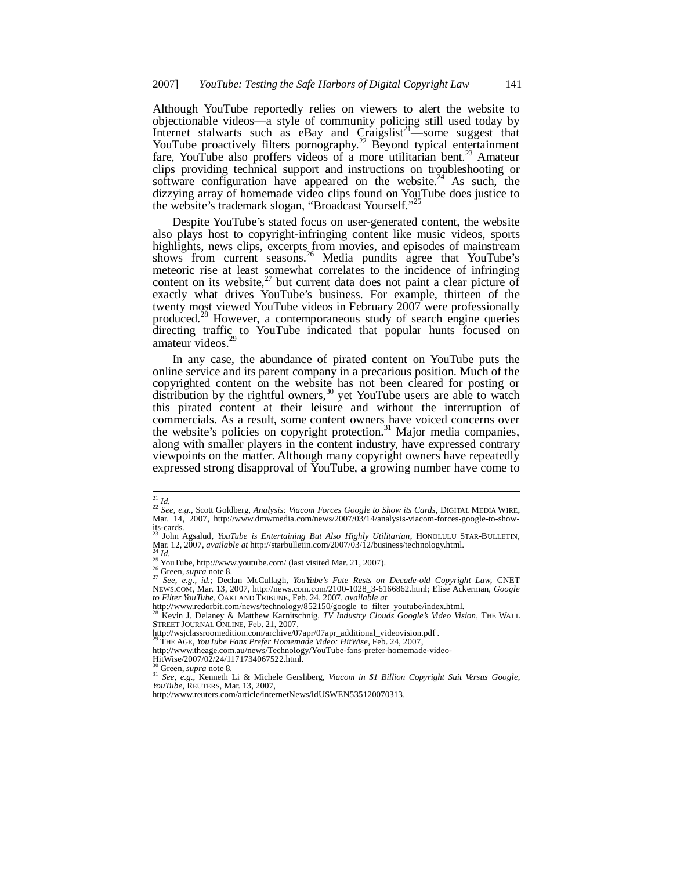Although YouTube reportedly relies on viewers to alert the website to objectionable videos—a style of community policing still used today by Internet stalwarts such as eBay and  $C_{\text{raigslist}^{21}}$ —some suggest that YouTube proactively filters pornography.<sup>22</sup> Beyond typical entertainment fare, YouTube also proffers videos of a more utilitarian bent.<sup>23</sup> Amateur clips providing technical support and instructions on troubleshooting or software configuration have appeared on the website. $^{24}$  As such, the dizzying array of homemade video clips found on YouTube does justice to the website's trademark slogan, "Broadcast Yourself."<sup>2</sup>

Despite YouTube's stated focus on user-generated content, the website also plays host to copyright-infringing content like music videos, sports highlights, news clips, excerpts from movies, and episodes of mainstream shows from current seasons.<sup>26</sup> Media pundits agree that YouTube's meteoric rise at least somewhat correlates to the incidence of infringing content on its website, $27$  but current data does not paint a clear picture of exactly what drives YouTube's business. For example, thirteen of the twenty most viewed YouTube videos in February 2007 were professionally produced.<sup>28</sup> However, a contemporaneous study of search engine queries directing traffic to YouTube indicated that popular hunts focused on amateur videos.<sup>2</sup>

In any case, the abundance of pirated content on YouTube puts the online service and its parent company in a precarious position. Much of the copyrighted content on the website has not been cleared for posting or distribution by the rightful owners,<sup>30</sup> yet YouTube users are able to watch this pirated content at their leisure and without the interruption of commercials. As a result, some content owners have voiced concerns over the website's policies on copyright protection.<sup>31</sup> Major media companies, along with smaller players in the content industry, have expressed contrary viewpoints on the matter. Although many copyright owners have repeatedly expressed strong disapproval of YouTube, a growing number have come to

http://wsjclassroomedition.com/archive/07apr/07apr\_additional\_videovision.pdf .

<sup>29</sup> THE AGE, *YouTube Fans Prefer Homemade Video: HitWise*, Feb. 24, 2007,

- http://www.theage.com.au/news/Technology/YouTube-fans-prefer-homemade-video-
- HitWise/2007/02/24/1171734067522.html.

<sup>30</sup> Green, *supra* note 8. <sup>31</sup> *See, e.g.*, Kenneth Li & Michele Gershberg, *Viacom in \$1 Billion Copyright Suit Versus Google, YouTube*, REUTERS, Mar. 13, 2007,

http://www.reuters.com/article/internetNews/idUSWEN535120070313.

<sup>21</sup> *Id.*

<sup>22</sup> *See, e.g.,* Scott Goldberg, *Analysis: Viacom Forces Google to Show its Cards*, DIGITAL MEDIA WIRE, Mar. 14, 2007, http://www.dmwmedia.com/news/2007/03/14/analysis-viacom-forces-google-to-showits-cards.

<sup>23</sup> John Agsalud, *YouTube is Entertaining But Also Highly Utilitarian*, HONOLULU STAR-BULLETIN, Mar. 12, 2007, *available at* http://starbulletin.com/2007/03/12/business/technology.html. <sup>24</sup> *Id.*

<sup>&</sup>lt;sup>25</sup> YouTube, http://www.youtube.com/ (last visited Mar. 21, 2007).

<sup>26</sup> Green, *supra* note 8. <sup>27</sup> *See, e.g., id.*; Declan McCullagh, *YouYube's Fate Rests on Decade-old Copyright Law*, CNET NEWS.COM, Mar. 13, 2007, http://news.com.com/2100-1028\_3-6166862.html; Elise Ackerman, *Google to Filter YouTube*, OAKLAND TRIBUNE, Feb. 24, 2007, *available at*

http://www.redorbit.com/news/technology/852150/google\_to\_filter\_youtube/index.html.

<sup>&</sup>lt;sup>28</sup> Kevin J. Delaney & Matthew Karnitschnig, *TV Industry Clouds Google's Video Vision*, THE WALL<br>STREET JOURNAL ONLINE, Feb. 21, 2007,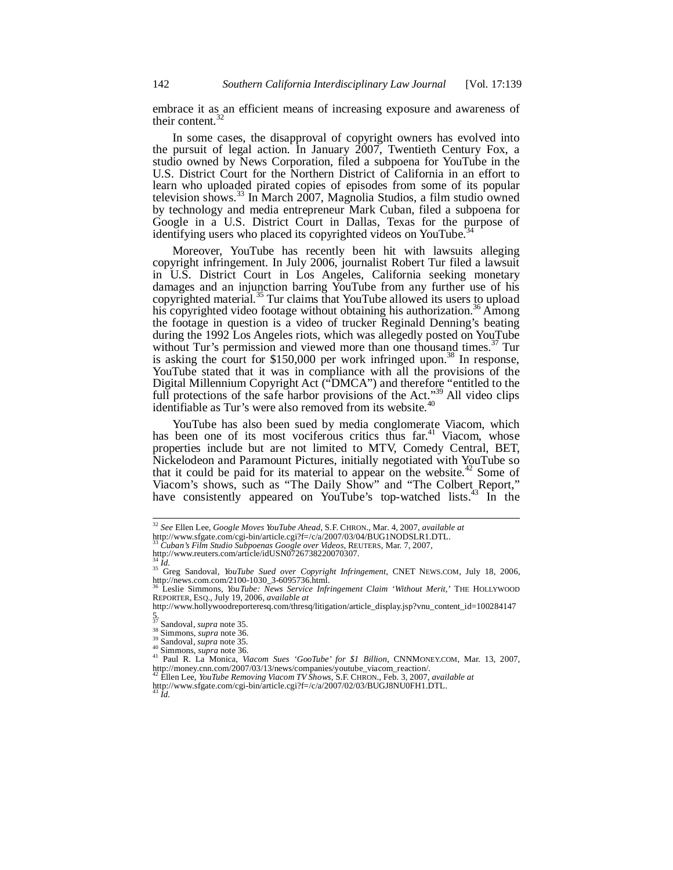embrace it as an efficient means of increasing exposure and awareness of their content.<sup>32</sup>

In some cases, the disapproval of copyright owners has evolved into the pursuit of legal action. In January  $2007$ , Twentieth Century Fox, a studio owned by News Corporation, filed a subpoena for YouTube in the U.S. District Court for the Northern District of California in an effort to learn who uploaded pirated copies of episodes from some of its popular television shows.<sup>33</sup> In March 2007, Magnolia Studios, a film studio owned by technology and media entrepreneur Mark Cuban, filed a subpoena for Google in a U.S. District Court in Dallas, Texas for the purpose of identifying users who placed its copyrighted videos on YouTube.<sup>34</sup>

Moreover, YouTube has recently been hit with lawsuits alleging copyright infringement. In July 2006, journalist Robert Tur filed a lawsuit in U.S. District Court in Los Angeles, California seeking monetary damages and an injunction barring YouTube from any further use of his copyrighted material.<sup>35</sup> Tur claims that YouTube allowed its users to upload his copyrighted video footage without obtaining his authorization.<sup>36</sup> Among the footage in question is a video of trucker Reginald Denning's beating during the 1992 Los Angeles riots, which was allegedly posted on YouTube without Tur's permission and viewed more than one thousand times.<sup>37</sup> Tur is asking the court for \$150,000 per work infringed upon.<sup>38</sup> In response, YouTube stated that it was in compliance with all the provisions of the Digital Millennium Copyright Act ("DMCA") and therefore "entitled to the full protections of the safe harbor provisions of the Act."<sup>39</sup> All video clips identifiable as Tur's were also removed from its website.<sup>40</sup>

YouTube has also been sued by media conglomerate Viacom, which has been one of its most vociferous critics thus far.<sup>41</sup> Viacom, whose properties include but are not limited to MTV, Comedy Central, BET, Nickelodeon and Paramount Pictures, initially negotiated with YouTube so that it could be paid for its material to appear on the website.<sup>42</sup> Some of Viacom's shows, such as "The Daily Show" and "The Colbert Report," have consistently appeared on YouTube's top-watched lists.<sup>43</sup> In the

 $\bar{d}$ .

<sup>32</sup> *See* Ellen Lee, *Google Moves YouTube Ahead*, S.F. CHRON., Mar. 4, 2007, *available at*

http://www.sfgate.com/cgi-bin/article.cgi?f=/c/a/2007/03/04/BUG1NODSLR1.DTL.

<sup>33</sup> *Cuban's Film Studio Subpoenas Google over Videos*, REUTERS, Mar. 7, 2007,

http://www.reuters.com/article/idUSN0726738220070307.

<sup>34</sup> *Id.* <sup>35</sup> Greg Sandoval, *YouTube Sued over Copyright Infringement*, CNET NEWS.COM, July 18, 2006,

http://news.com.com/2100-1030\_3-6095736.html. <sup>36</sup> Leslie Simmons, *YouTube: News Service Infringement Claim 'Without Merit,'* THE HOLLYWOOD REPORTER, ESQ., July 19, 2006, *available at*

http://www.hollywoodreporteresq.com/thresq/litigation/article\_display.jsp?vnu\_content\_id=100284147

<sup>5.</sup> <sup>37</sup> Sandoval, *supra* note 35.

 $38 \text{ Simmons}, \text{supra note } 36.$ 

<sup>39</sup> Sandoval, *supra* note 35.

<sup>40</sup> Simmons, *supra* note 36.

<sup>41</sup> Paul R. La Monica, *Viacom Sues 'GooTube' for \$1 Billion*, CNNMONEY.COM, Mar. 13, 2007, http://money.cnn.com/2007/03/13/news/companies/youtube\_viacom\_reaction/. <sup>42</sup> Ellen Lee, *YouTube Removing Viacom TV Shows*, S.F. CHRON., Feb. 3, 2007, *available at*

http://www.sfgate.com/cgi-bin/article.cgi?f=/c/a/2007/02/03/BUGJ8NU0FH1.DTL.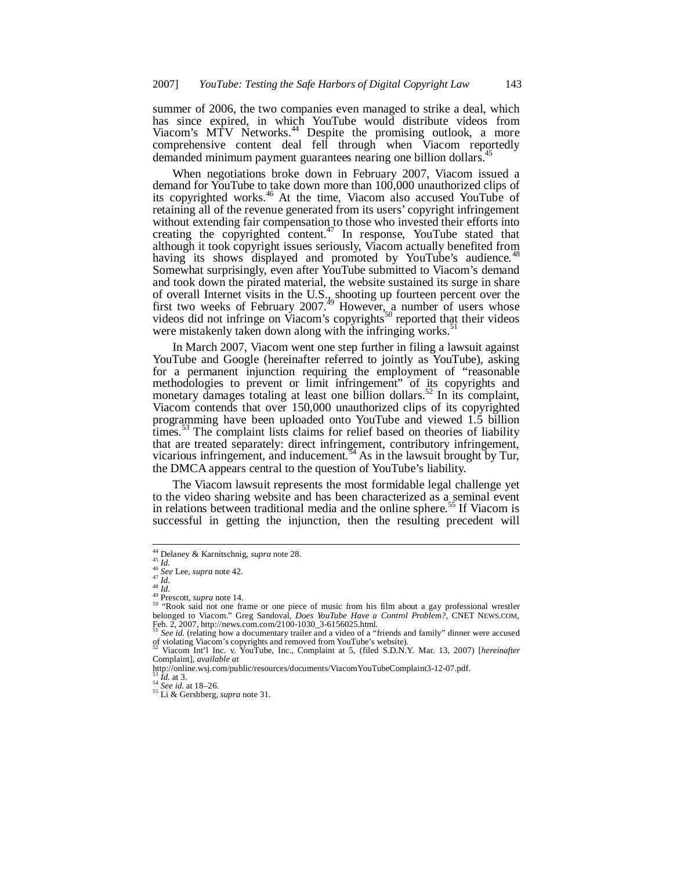summer of 2006, the two companies even managed to strike a deal, which has since expired, in which YouTube would distribute videos from Viacom's MTV Networks.<sup>44</sup> Despite the promising outlook, a more comprehensive content deal fell through when Viacom reportedly demanded minimum payment guarantees nearing one billion dollars.<sup>4</sup>

When negotiations broke down in February 2007, Viacom issued a demand for YouTube to take down more than 100,000 unauthorized clips of its copyrighted works.<sup>46</sup> At the time, Viacom also accused YouTube of retaining all of the revenue generated from its users' copyright infringement without extending fair compensation to those who invested their efforts into creating the copyrighted content.<sup>47</sup> In response, YouTube stated that although it took copyright issues seriously, Viacom actually benefited from having its shows displayed and promoted by YouTube's audience.<sup>4</sup> Somewhat surprisingly, even after YouTube submitted to Viacom's demand and took down the pirated material, the website sustained its surge in share of overall Internet visits in the U.S., shooting up fourteen percent over the first two weeks of February 2007.<sup>49</sup> However, a number of users whose videos did not infringe on Viacom's copyrights<sup>50</sup> reported that their videos were mistakenly taken down along with the infringing works.<sup>5</sup>

In March 2007, Viacom went one step further in filing a lawsuit against YouTube and Google (hereinafter referred to jointly as YouTube), asking for a permanent injunction requiring the employment of "reasonable methodologies to prevent or limit infringement" of its copyrights and monetary damages totaling at least one billion dollars.<sup>52</sup> In its complaint, Viacom contends that over 150,000 unauthorized clips of its copyrighted programming have been uploaded onto YouTube and viewed 1.5 billion times.<sup>53</sup> The complaint lists claims for relief based on theories of liability that are treated separately: direct infringement, contributory infringement, vicarious infringement, and inducement.  $54$  As in the lawsuit brought by Tur, the DMCA appears central to the question of YouTube's liability.

The Viacom lawsuit represents the most formidable legal challenge yet to the video sharing website and has been characterized as a seminal event in relations between traditional media and the online sphere.<sup>55</sup> If Viacom is successful in getting the injunction, then the resulting precedent will

<sup>44</sup> Delaney & Karnitschnig, *supra* note 28.

<sup>45</sup> *Id.* <sup>46</sup> *See* Lee, *supra* note 42. <sup>47</sup> *Id.*

<sup>48</sup> *Id.*<br><sup>49</sup> Prescott, *supra* note 14.<br><sup>50</sup> "Rook said not one frame or one piece of music from his film about a gay professional wrestler belonged to Viacom." Greg Sandoval, *Does YouTube Have a Control Problem?*, CNET NEWS.COM,<br>Feb. 2, 2007, http://news.com.com/2100-1030\_3-6156025.html.<br><sup>51</sup> See id. (relating how a documentary trailer and a video of a "frie

of violating Viacom's copyrights and removed from YouTube's website). <sup>52</sup> Viacom Int'l Inc. v. YouTube, Inc., Complaint at 5, (filed S.D.N.Y. Mar. 13, 2007) [*hereinafter*

Complaint], *available at*

http://online.wsj.com/public/resources/documents/ViacomYouTubeComplaint3-12-07.pdf. <sup>53</sup> *Id.* at 3.

<sup>54</sup> *See id.* at 18–26.

<sup>55</sup> Li & Gershberg, *supra* note 31.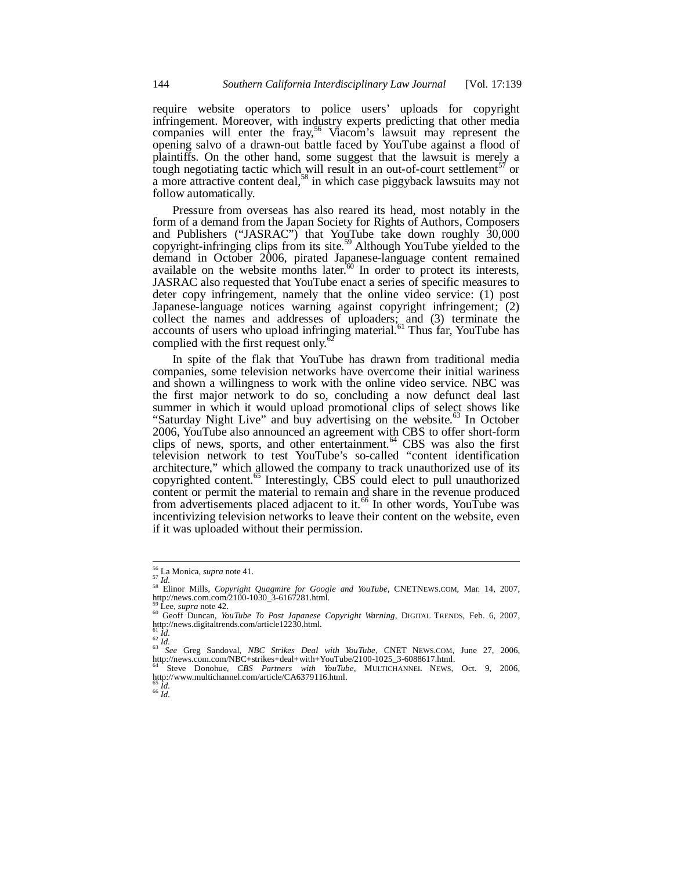require website operators to police users' uploads for copyright infringement. Moreover, with industry experts predicting that other media companies will enter the fray,<sup>56</sup> Viacom's lawsuit may represent the opening salvo of a drawn-out battle faced by YouTube against a flood of plaintiffs. On the other hand, some suggest that the lawsuit is merely a tough negotiating tactic which will result in an out-of-court settlement<sup>57</sup> or a more attractive content deal,<sup>58</sup> in which case piggyback lawsuits may not follow automatically.

Pressure from overseas has also reared its head, most notably in the form of a demand from the Japan Society for Rights of Authors, Composers and Publishers ("JASRAC") that YouTube take down roughly 30,000 copyright-infringing clips from its site.<sup>59</sup> Although YouTube yielded to the demand in October 2006, pirated Japanese-language content remained available on the website months later.<sup>60</sup> In order to protect its interests, JASRAC also requested that YouTube enact a series of specific measures to deter copy infringement, namely that the online video service: (1) post Japanese-language notices warning against copyright infringement; (2) collect the names and addresses of uploaders; and (3) terminate the accounts of users who upload infringing material.<sup>61</sup> Thus far, YouTube has complied with the first request only.<sup>4</sup>

In spite of the flak that YouTube has drawn from traditional media companies, some television networks have overcome their initial wariness and shown a willingness to work with the online video service. NBC was the first major network to do so, concluding a now defunct deal last summer in which it would upload promotional clips of select shows like "Saturday Night Live" and buy advertising on the website. $^{63}$  In October 2006, YouTube also announced an agreement with CBS to offer short-form clips of news, sports, and other entertainment. $64$  CBS was also the first television network to test YouTube's so-called "content identification architecture," which allowed the company to track unauthorized use of its copyrighted content. $^{65}$  Interestingly, CBS could elect to pull unauthorized content or permit the material to remain and share in the revenue produced from advertisements placed adjacent to it.<sup>66</sup> In other words, YouTube was incentivizing television networks to leave their content on the website, even if it was uploaded without their permission.

<sup>62</sup> *Id.*

<sup>66</sup> *Id.*

<sup>56</sup> La Monica, *supra* note 41. <sup>57</sup> *Id.*

<sup>58</sup> Elinor Mills, *Copyright Quagmire for Google and YouTube*, CNETNEWS.COM, Mar. 14, 2007, http://news.com.com/2100-1030\_3-6167281.html.

<sup>59</sup> Lee, *supra* note 42.

<sup>&</sup>lt;sup>60</sup> Geoff Duncan, *YouTube To Post Japanese Copyright Warning*, DIGITAL TRENDS, Feb. 6, 2007,<br>http://news.digitaltrends.com/article12230.html.<br><sup>61</sup> *Id.* 

<sup>63</sup> *See* Greg Sandoval, *NBC Strikes Deal with YouTube*, CNET NEWS.COM, June 27, 2006, http://news.com.com/NBC+strikes+deal+with+YouTube/2100-1025\_3-6088617.html.

<sup>64</sup> Steve Donohue, *CBS Partners with YouTube*, MULTICHANNEL NEWS, Oct. 9, 2006, http://www.multichannel.com/article/CA6379116.html. <sup>65</sup> *Id.*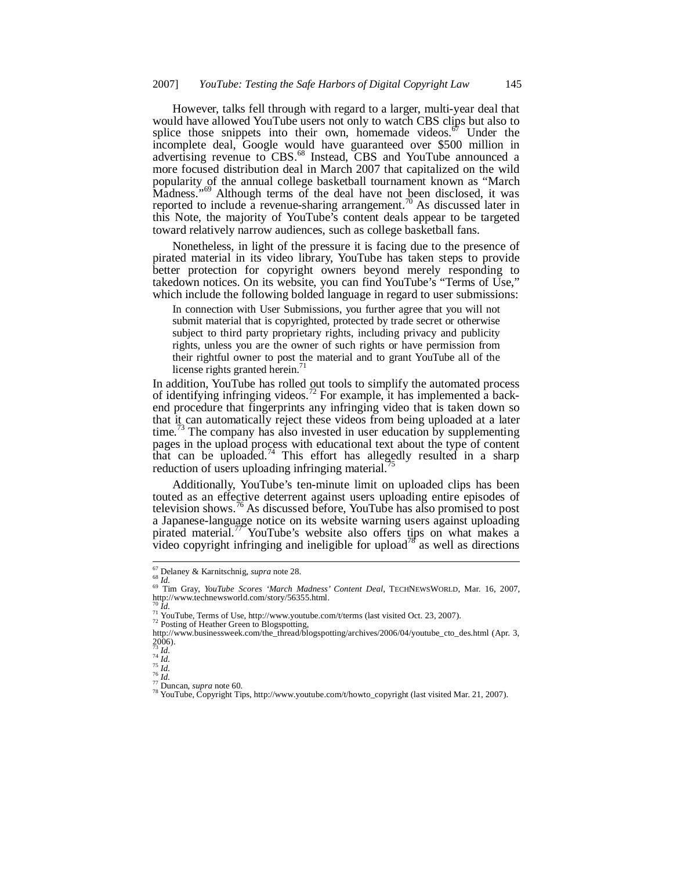However, talks fell through with regard to a larger, multi-year deal that would have allowed YouTube users not only to watch CBS clips but also to splice those snippets into their own, homemade videos.<sup>67</sup> Under the incomplete deal, Google would have guaranteed over \$500 million in advertising revenue to CBS.<sup>68</sup> Instead, CBS and YouTube announced a more focused distribution deal in March 2007 that capitalized on the wild popularity of the annual college basketball tournament known as "March Madness."<sup>69</sup> Although terms of the deal have not been disclosed, it was reported to include a revenue-sharing arrangement.<sup>70</sup> As discussed later in this Note, the majority of YouTube's content deals appear to be targeted toward relatively narrow audiences, such as college basketball fans.

Nonetheless, in light of the pressure it is facing due to the presence of pirated material in its video library, YouTube has taken steps to provide better protection for copyright owners beyond merely responding to takedown notices. On its website, you can find YouTube's "Terms of Use," which include the following bolded language in regard to user submissions:

In connection with User Submissions, you further agree that you will not submit material that is copyrighted, protected by trade secret or otherwise subject to third party proprietary rights, including privacy and publicity rights, unless you are the owner of such rights or have permission from their rightful owner to post the material and to grant YouTube all of the license rights granted herein.<sup>71</sup>

In addition, YouTube has rolled out tools to simplify the automated process of identifying infringing videos.<sup>72</sup> For example, it has implemented a backend procedure that fingerprints any infringing video that is taken down so that it can automatically reject these videos from being uploaded at a later time.<sup>73</sup> The company has also invested in user education by supplementing pages in the upload process with educational text about the type of content that can be uploaded.<sup>74</sup> This effort has allegedly resulted in a sharp reduction of users uploading infringing material.

Additionally, YouTube's ten-minute limit on uploaded clips has been touted as an effective deterrent against users uploading entire episodes of television shows.<sup>76</sup> As discussed before, YouTube has also promised to post a Japanese-language notice on its website warning users against uploading pirated material.<sup>77</sup> YouTube's website also offers tips on what makes a video copyright infringing and ineligible for upload<sup>78</sup> as well as directions

<sup>72</sup> Posting of Heather Green to Blogspotting,<br>http://www.businessweek.com/the\_thread/blogspotting/archives/2006/04/youtube\_cto\_des.html (Apr. 3,  $2006$ ).

<sup>67</sup> Delaney & Karnitschnig, *supra* note 28. <sup>68</sup> *Id.*

<sup>&</sup>lt;sup>69</sup> Tim Gray, *YouTube Scores 'March Madness' Content Deal*, TECHNEWSWORLD, Mar. 16, 2007, http://www.technewsworld.com/story/56355.html.

 $\frac{71}{11}$  YouTube, Terms of Use, http://www.youtube.com/t/terms (last visited Oct. 23, 2007).

<sup>73</sup> *Id.* <sup>74</sup> *Id.*

<sup>75</sup> *Id.* <sup>76</sup> *Id.*

<sup>77</sup> Duncan, *supra* note 60.

<sup>&</sup>lt;sup>78</sup> YouTube, Copyright Tips, http://www.youtube.com/t/howto\_copyright (last visited Mar. 21, 2007).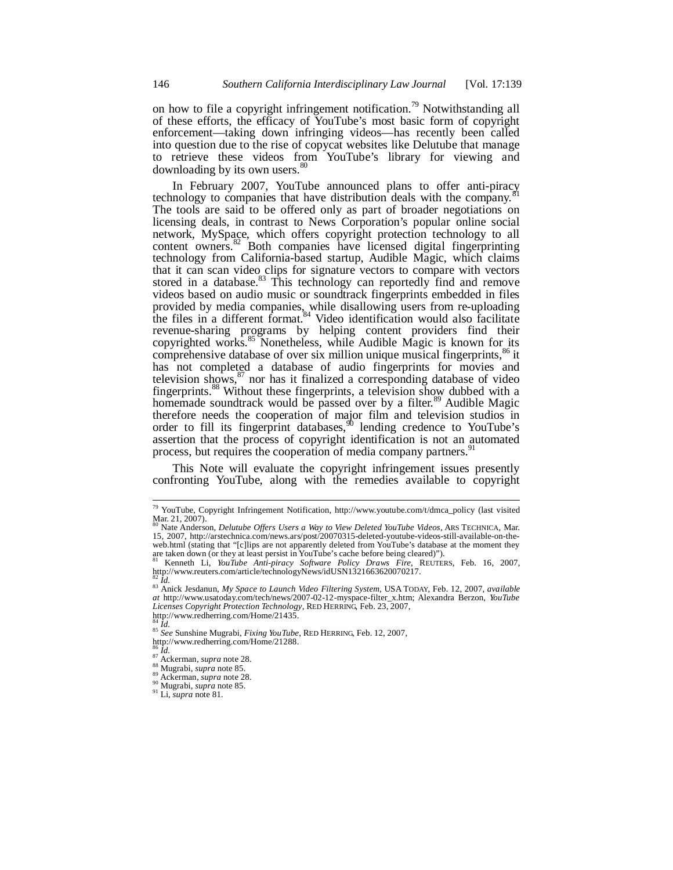on how to file a copyright infringement notification.<sup>79</sup> Notwithstanding all of these efforts, the efficacy of YouTube's most basic form of copyright enforcement—taking down infringing videos—has recently been called into question due to the rise of copycat websites like Delutube that manage to retrieve these videos from YouTube's library for viewing and downloading by its own users.<sup>80</sup>

In February 2007, YouTube announced plans to offer anti-piracy technology to companies that have distribution deals with the company.<sup>8</sup> The tools are said to be offered only as part of broader negotiations on licensing deals, in contrast to News Corporation's popular online social network, MySpace, which offers copyright protection technology to all content owners.<sup>82</sup> Both companies have licensed digital fingerprinting technology from California-based startup, Audible Magic, which claims that it can scan video clips for signature vectors to compare with vectors stored in a database.<sup>83</sup> This technology can reportedly find and remove videos based on audio music or soundtrack fingerprints embedded in files provided by media companies, while disallowing users from re-uploading the files in a different format.<sup>84</sup> Video identification would also facilitate revenue-sharing programs by helping content providers find their copyrighted works.<sup>85</sup> Nonetheless, while Audible Magic is known for its comprehensive database of over six million unique musical fingerprints,<sup>86</sup> it has not completed a database of audio fingerprints for movies and television shows, $\frac{87}{10}$  nor has it finalized a corresponding database of video fingerprints.<sup>88</sup> Without these fingerprints, a television show dubbed with a homemade soundtrack would be passed over by a filter.<sup>89</sup> Audible Magic therefore needs the cooperation of major film and television studios in order to fill its fingerprint databases,  $90$  lending credence to YouTube's assertion that the process of copyright identification is not an automated process, but requires the cooperation of media company partners.<sup>91</sup>

This Note will evaluate the copyright infringement issues presently confronting YouTube, along with the remedies available to copyright

<sup>79</sup> YouTube, Copyright Infringement Notification, http://www.youtube.com/t/dmca\_policy (last visited Mar. 21, 2007).

<sup>80</sup> Nate Anderson, *Delutube Offers Users a Way to View Deleted YouTube Videos*, ARS TECHNICA, Mar. 15, 2007, http://arstechnica.com/news.ars/post/20070315-deleted-youtube-videos-still-available-on-theweb.html (stating that "[c]lips are not apparently deleted from YouTube's database at the moment they are taken down (or they at least persist in YouTube's cache before being cleared)").<br><sup>81</sup> Kenneth Li, *YouTube Anti-pira* 

<sup>82</sup> *Id.*

<sup>83</sup> Anick Jesdanun, *My Space to Launch Video Filtering System*, USA TODAY, Feb. 12, 2007, *available at* http://www.usatoday.com/tech/news/2007-02-12-myspace-filter\_x.htm; Alexandra Berzon, *YouTube Licenses Copyright Protection Technology*, RED HERRING, Feb. 23, 2007, http://www.redherring.com/Home/21435. <sup>84</sup> *Id.*

<sup>85</sup> *See* Sunshine Mugrabi, *Fixing YouTube*, RED HERRING, Feb. 12, 2007,

http://www.redherring.com/Home/21288. <sup>86</sup> *Id.* <sup>87</sup> Ackerman, *supra* note 28.

<sup>88</sup> Mugrabi, *supra* note 85. <sup>89</sup> Ackerman, *supra* note 28.

<sup>90</sup> Mugrabi, *supra* note 85.

<sup>91</sup> Li, *supra* note 81*.*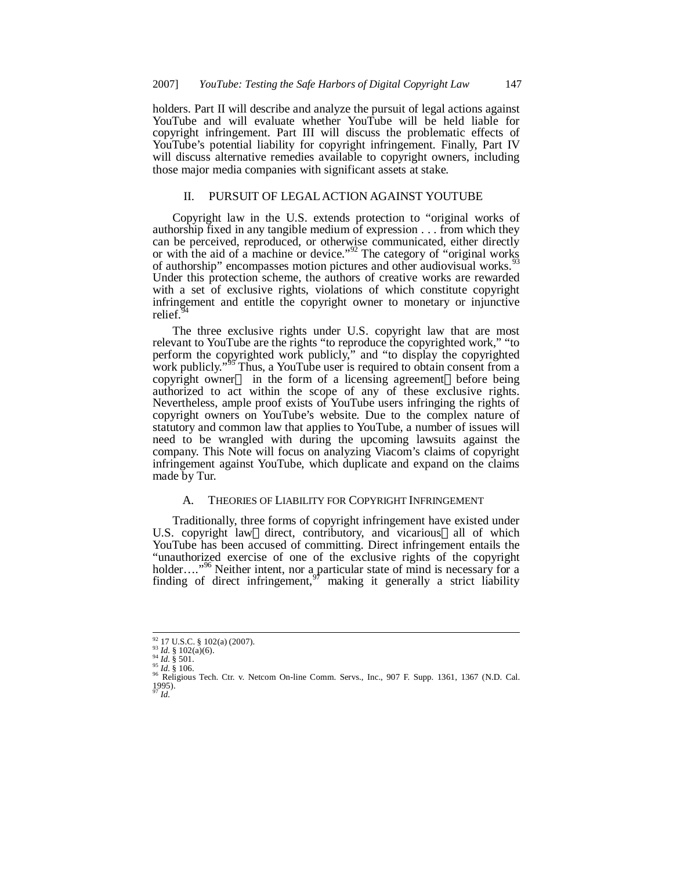holders. Part II will describe and analyze the pursuit of legal actions against YouTube and will evaluate whether YouTube will be held liable for copyright infringement. Part III will discuss the problematic effects of YouTube's potential liability for copyright infringement. Finally, Part IV will discuss alternative remedies available to copyright owners, including those major media companies with significant assets at stake.

## II. PURSUIT OF LEGAL ACTION AGAINST YOUTUBE

Copyright law in the U.S. extends protection to "original works of authorship fixed in any tangible medium of expression . . . from which they can be perceived, reproduced, or otherwise communicated, either directly or with the aid of a machine or device."<sup>92</sup> The category of "original works" of authorship" encompasses motion pictures and other audiovisual works.<sup>9</sup> Under this protection scheme, the authors of creative works are rewarded with a set of exclusive rights, violations of which constitute copyright infringement and entitle the copyright owner to monetary or injunctive relief.

The three exclusive rights under U.S. copyright law that are most relevant to YouTube are the rights "to reproduce the copyrighted work," "to perform the copyrighted work publicly," and "to display the copyrighted work publicly."<sup>95</sup> Thus, a YouTube user is required to obtain consent from a copyright owner— in the form of a licensing agreement—before being authorized to act within the scope of any of these exclusive rights. Nevertheless, ample proof exists of YouTube users infringing the rights of copyright owners on YouTube's website. Due to the complex nature of statutory and common law that applies to YouTube, a number of issues will need to be wrangled with during the upcoming lawsuits against the company. This Note will focus on analyzing Viacom's claims of copyright infringement against YouTube, which duplicate and expand on the claims made by Tur.

## A. THEORIES OF LIABILITY FOR COPYRIGHT INFRINGEMENT

Traditionally, three forms of copyright infringement have existed under U.S. copyright law—direct, contributory, and vicarious—all of which YouTube has been accused of committing. Direct infringement entails the "unauthorized exercise of one of the exclusive rights of the copyright holder…."<sup>96</sup> Neither intent, nor a particular state of mind is necessary for a finding of direct infringement,  $97$  making it generally a strict liability

<sup>92</sup> 17 U.S.C. § 102(a) (2007). <sup>93</sup> *Id.* § 102(a)(6).

 $^{94}$  *Id.* § 501.

<sup>&</sup>lt;sup>95</sup> Id. § 106.<br><sup>96</sup> Religious Tech. Ctr. v. Netcom On-line Comm. Servs., Inc., 907 F. Supp. 1361, 1367 (N.D. Cal.<br>1995).  $^{1995}_{97}$ *Id.*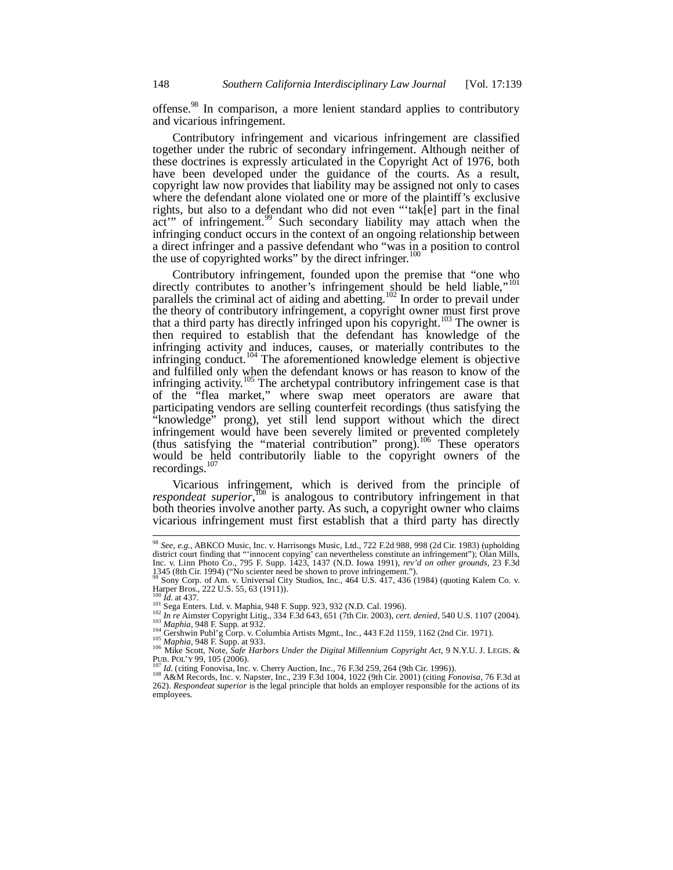offense.<sup>98</sup> In comparison, a more lenient standard applies to contributory and vicarious infringement.

Contributory infringement and vicarious infringement are classified together under the rubric of secondary infringement. Although neither of these doctrines is expressly articulated in the Copyright Act of 1976, both have been developed under the guidance of the courts. As a result, copyright law now provides that liability may be assigned not only to cases where the defendant alone violated one or more of the plaintiff's exclusive rights, but also to a defendant who did not even "'tak[e] part in the final act'" of infringement.<sup>99</sup> Such secondary liability may attach when the infringing conduct occurs in the context of an ongoing relationship between a direct infringer and a passive defendant who "was in a position to control the use of copyrighted works" by the direct infringer. $100$ 

Contributory infringement, founded upon the premise that "one who directly contributes to another's infringement should be held liable,"<sup>101</sup> parallels the criminal act of aiding and abetting.<sup>102</sup> In order to prevail under the theory of contributory infringement, a copyright owner must first prove that a third party has directly infringed upon his copyright.<sup>103</sup> The owner is then required to establish that the defendant has knowledge of the infringing activity and induces, causes, or materially contributes to the infringing conduct.<sup>104</sup> The aforementioned knowledge element is objective and fulfilled only when the defendant knows or has reason to know of the infringing activity.<sup>105</sup> The archetypal contributory infringement case is that of the "flea market," where swap meet operators are aware that participating vendors are selling counterfeit recordings (thus satisfying the "knowledge" prong), yet still lend support without which the direct infringement would have been severely limited or prevented completely (thus satisfying the "material contribution" prong).<sup>106</sup> These operators would be held contributorily liable to the copyright owners of the recordings.<sup>107</sup>

Vicarious infringement, which is derived from the principle of respondeat superior,<sup>108</sup> is analogous to contributory infringement in that both theories involve another party. As such, a copyright owner who claims vicarious infringement must first establish that a third party has directly

<sup>98</sup> *See, e.g.,* ABKCO Music, Inc. v. Harrisongs Music, Ltd., 722 F.2d 988, 998 (2d Cir. 1983) (upholding district court finding that "'innocent copying' can nevertheless constitute an infringement"); Olan Mills, Inc. v. Linn Photo Co., 795 F. Supp. 1423, 1437 (N.D. Iowa 1991), *rev'd on other grounds*, 23 F.3d 1345 (8th Cir. 1994) ("No scienter need be shown to prove infringement.").

 $^{99}$  Sony Corp. of Am. v. Universal City Studios, Inc., 464 U.S.  $\tilde{4}17$ , 436 (1984) (quoting Kalem Co. v. Harper Bros., 222 U.S. 55, 63 (1911)).

 $\hat{Id}$ . at 437.

<sup>101</sup> Sega Enters. Ltd. v. Maphia, 948 F. Supp. 923, 932 (N.D. Cal. 1996).

<sup>102</sup> *In re* Aimster Copyright Litig., 334 F.3d 643, 651 (7th Cir. 2003), *cert. denied*, 540 U.S. 1107 (2004). <sup>103</sup> *Maphia,* 948 F. Supp. at 932.

<sup>&</sup>lt;sup>104</sup> Gershwin Publ'g Corp. v. Columbia Artists Mgmt., Inc., 443 F.2d 1159, 1162 (2nd Cir. 1971).

<sup>105</sup> *Maphia*, 948 F. Supp. at 933. <sup>106</sup> Mike Scott, Note, *Safe Harbors Under the Digital Millennium Copyright Act*, 9 N.Y.U. J. LEGIS. & PUB. POL'Y 99, 105 (2006).

<sup>107</sup> *Id.* (citing Fonovisa, Inc. v. Cherry Auction, Inc., 76 F.3d 259, 264 (9th Cir. 1996)). <sup>108</sup> A&M Records, Inc. v. Napster, Inc., 239 F.3d 1004, 1022 (9th Cir. 2001) (citing *Fonovisa*, 76 F.3d at 262). *Respondeat superior* is the legal principle that holds an employer responsible for the actions of its employees.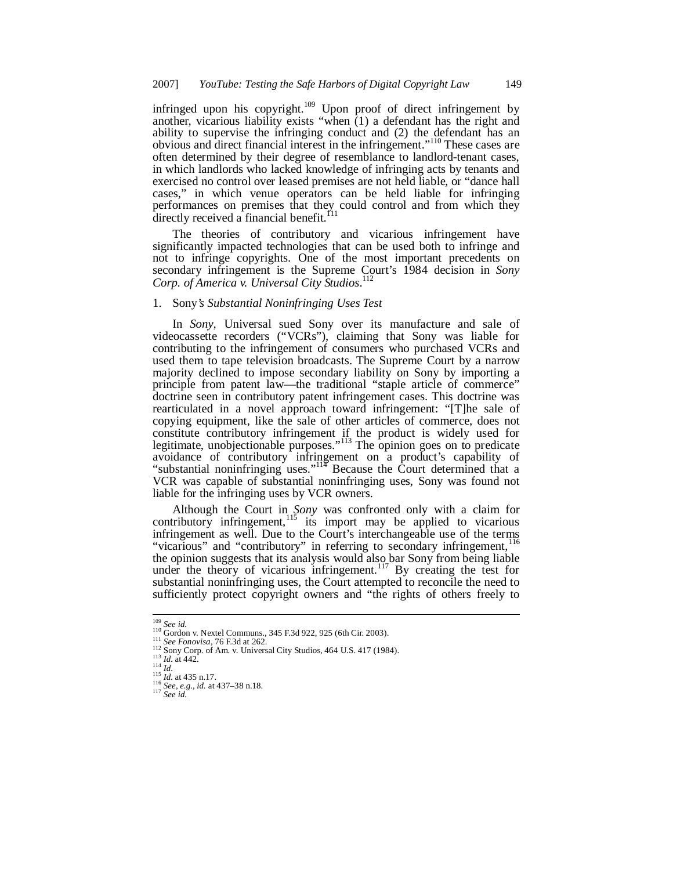infringed upon his copyright.<sup>109</sup> Upon proof of direct infringement by another, vicarious liability exists "when (1) a defendant has the right and ability to supervise the infringing conduct and (2) the defendant has an obvious and direct financial interest in the infringement."<sup>110</sup> These cases are often determined by their degree of resemblance to landlord-tenant cases, in which landlords who lacked knowledge of infringing acts by tenants and exercised no control over leased premises are not held liable, or "dance hall cases," in which venue operators can be held liable for infringing performances on premises that they could control and from which they directly received a financial benefit.<sup>f11</sup>

The theories of contributory and vicarious infringement have significantly impacted technologies that can be used both to infringe and not to infringe copyrights. One of the most important precedents on secondary infringement is the Supreme Court's 1984 decision in *Sony Corp. of America v. Universal City Studios*. 112

## 1. Sony*'s Substantial Noninfringing Uses Test*

In *Sony*, Universal sued Sony over its manufacture and sale of videocassette recorders ("VCRs"), claiming that Sony was liable for contributing to the infringement of consumers who purchased VCRs and used them to tape television broadcasts. The Supreme Court by a narrow majority declined to impose secondary liability on Sony by importing a principle from patent law—the traditional "staple article of commerce" doctrine seen in contributory patent infringement cases. This doctrine was rearticulated in a novel approach toward infringement: "[T]he sale of copying equipment, like the sale of other articles of commerce, does not constitute contributory infringement if the product is widely used for legitimate, unobjectionable purposes."<sup>113</sup> The opinion goes on to predicate avoidance of contributory infringement on a product's capability of "substantial noninfringing uses."<sup>114</sup> Because the Court determined that a VCR was capable of substantial noninfringing uses, Sony was found not liable for the infringing uses by VCR owners.

Although the Court in *Sony* was confronted only with a claim for contributory infringement,  $115$  its import may be applied to vicarious infringement as well. Due to the Court's interchangeable use of the terms "vicarious" and "contributory" in referring to secondary infringement,<sup>116</sup> the opinion suggests that its analysis would also bar Sony from being liable under the theory of vicarious infringement.<sup>117</sup> By creating the test for substantial noninfringing uses, the Court attempted to reconcile the need to sufficiently protect copyright owners and "the rights of others freely to

<sup>&</sup>lt;sup>109</sup> *See id.*<br><sup>110</sup> Gordon v. Nextel Communs., 345 F.3d 922, 925 (6th Cir. 2003).

<sup>111</sup> *See Fonovisa*, 76 F.3d at 262.

 $\frac{112}{112}$  Sony Corp. of Am. v. Universal City Studios, 464 U.S. 417 (1984).

<sup>113</sup> *Id.* at 442.

<sup>114</sup> *Id.* <sup>115</sup> *Id.* at 435 n.17. <sup>116</sup> *See, e.g., id.* at 437–38 n.18.

<sup>117</sup> *See id.*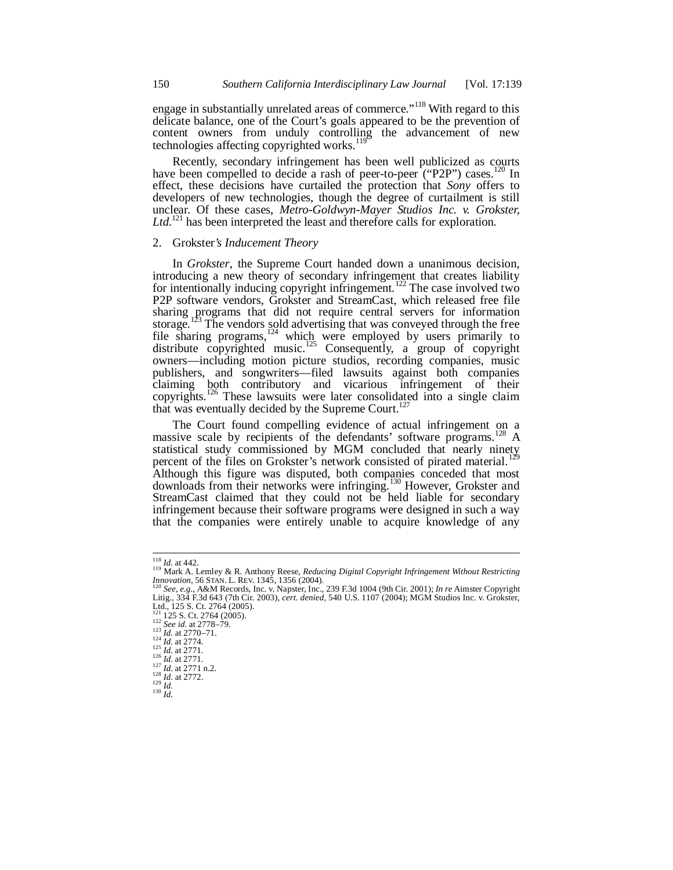engage in substantially unrelated areas of commerce."<sup>118</sup> With regard to this delicate balance, one of the Court's goals appeared to be the prevention of content owners from unduly controlling the advancement of new technologies affecting copyrighted works.<sup>119</sup>

Recently, secondary infringement has been well publicized as courts have been compelled to decide a rash of peer-to-peer ("P2P") cases.<sup>120</sup> In effect, these decisions have curtailed the protection that *Sony* offers to developers of new technologies, though the degree of curtailment is still unclear. Of these cases, *Metro-Goldwyn-Mayer Studios Inc. v. Grokster,* Ltd.<sup>121</sup> has been interpreted the least and therefore calls for exploration.

## 2. Grokster*'s Inducement Theory*

In *Grokster*, the Supreme Court handed down a unanimous decision, introducing a new theory of secondary infringement that creates liability for intentionally inducing copyright infringement.<sup>122</sup> The case involved two P2P software vendors, Grokster and StreamCast, which released free file sharing programs that did not require central servers for information storage.<sup>123</sup> The vendors sold advertising that was conveyed through the free file sharing programs,  $124$  which were employed by users primarily to distribute copyrighted music.<sup>125</sup> Consequently, a group of copyright owners—including motion picture studios, recording companies, music publishers, and songwriters—filed lawsuits against both companies claiming both contributory and vicarious infringement of their copyrights.<sup>126</sup> These lawsuits were later consolidated into a single claim that was eventually decided by the Supreme Court.<sup>127</sup>

The Court found compelling evidence of actual infringement on a massive scale by recipients of the defendants' software programs.<sup>128</sup> A statistical study commissioned by MGM concluded that nearly ninety percent of the files on Grokster's network consisted of pirated material.<sup>129</sup> Although this figure was disputed, both companies conceded that most downloads from their networks were infringing.<sup>130</sup> However, Grokster and StreamCast claimed that they could not be held liable for secondary infringement because their software programs were designed in such a way that the companies were entirely unable to acquire knowledge of any

<sup>118</sup> *Id.* at 442.

<sup>&</sup>lt;sup>119</sup> Mark A. Lemley & R. Anthony Reese, *Reducing Digital Copyright Infringement Without Restricting Innovation*, 56 STAN. L. REV. 1345, 1356 (2004).<br><sup>120</sup> See, e.g., A&M Records, Inc. v. Napster, Inc., 239 F.3d 1004 (9t

<sup>121</sup> 125 S. Ct. 2764 (2005). <sup>122</sup> *See id.* at 2778–79.

<sup>123</sup> *Id.* at 2770–71.

<sup>124</sup> *Id.* at 2774. <sup>125</sup> *Id.* at 2771.

<sup>126</sup> *Id.* at 2771.

<sup>127</sup> *Id.* at 2771 n.2.

 $\frac{128}{1}$  *Id.* at 2772.

<sup>129</sup> *Id.*

 $^{130}$  *Id.*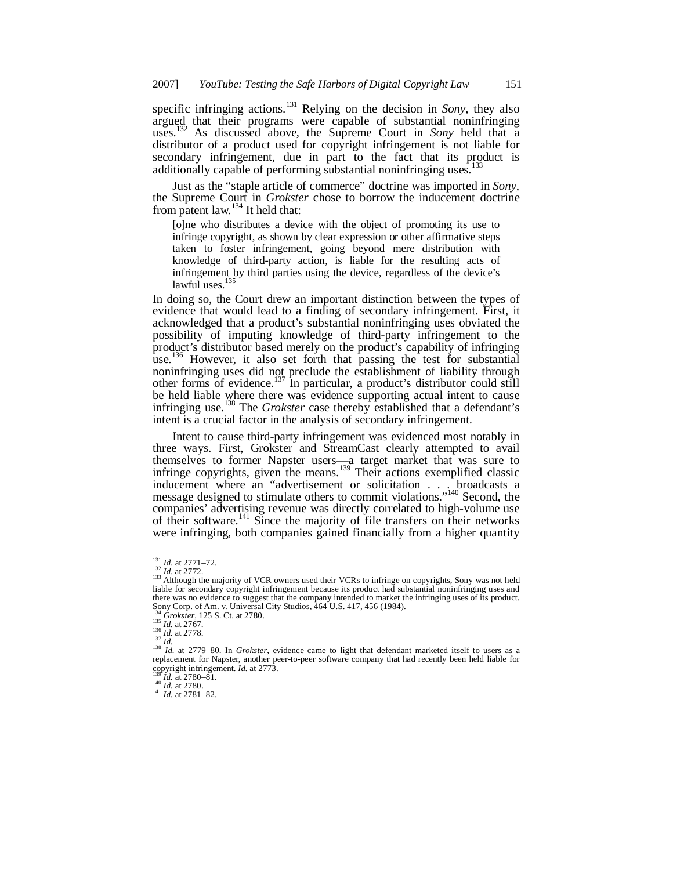specific infringing actions.<sup>131</sup> Relying on the decision in *Sony*, they also argued that their programs were capable of substantial noninfringing uses.<sup>132</sup> As discussed above, the Supreme Court in *Sony* held that a distributor of a product used for copyright infringement is not liable for secondary infringement, due in part to the fact that its product is additionally capable of performing substantial noninfringing uses.<sup>1</sup>

Just as the "staple article of commerce" doctrine was imported in *Sony*, the Supreme Court in *Grokster* chose to borrow the inducement doctrine from patent law.  $134$  It held that:

[o]ne who distributes a device with the object of promoting its use to infringe copyright, as shown by clear expression or other affirmative steps taken to foster infringement, going beyond mere distribution with knowledge of third-party action, is liable for the resulting acts of infringement by third parties using the device, regardless of the device's lawful uses.<sup>135</sup>

In doing so, the Court drew an important distinction between the types of evidence that would lead to a finding of secondary infringement. First, it acknowledged that a product's substantial noninfringing uses obviated the possibility of imputing knowledge of third-party infringement to the product's distributor based merely on the product's capability of infringing use.<sup>136</sup> However, it also set forth that passing the test for substantial noninfringing uses did not preclude the establishment of liability through other forms of evidence.<sup>137</sup> In particular, a product's distributor could still be held liable where there was evidence supporting actual intent to cause infringing use.<sup>138</sup> The *Grokster* case thereby established that a defendant's intent is a crucial factor in the analysis of secondary infringement.

Intent to cause third-party infringement was evidenced most notably in three ways. First, Grokster and StreamCast clearly attempted to avail themselves to former Napster users—a target market that was sure to infringe copyrights, given the means.<sup>139</sup> Their actions exemplified classic inducement where an "advertisement or solicitation . . . broadcasts a message designed to stimulate others to commit violations."<sup>140</sup> Second, the companies' advertising revenue was directly correlated to high-volume use of their software.<sup>141</sup> Since the majority of file transfers on their networks were infringing, both companies gained financially from a higher quantity

<sup>&</sup>lt;sup>131</sup> *Id.* at 2771–72.<br><sup>132</sup> *Id.* at 2772.<br><sup>133</sup> Although the majority of VCR owners used their VCRs to infringe on copyrights, Sony was not held liable for secondary copyright infringement because its product had substantial noninfringing uses and Itable for secondary copyright infringement because its product had substantial noninfringing uses and there was no evidence to suggest that the company intended to market the infringing uses of its product. Sony Corp. of Am. v. Universal City Studios, 464 U.S. 417, 456 (1984).

<sup>134</sup> *Grokster*, 125 S. Ct. at 2780. <sup>135</sup> *Id.* at 2767.

<sup>136</sup> *Id.* at 2778.

<sup>&</sup>lt;sup>137</sup> Id.<br><sup>138</sup> Id. at 2779–80. In Grokster, evidence came to light that defendant marketed itself to users as a<br>replacement for Napster, another peer-to-peer software company that had recently been held liable for copyright infringement. *Id.* at 2773. <sup>139</sup> *Id.* at 2780–81.

 $^{140}$  *Id.* at 2780.

<sup>141</sup> *Id.* at 2781–82.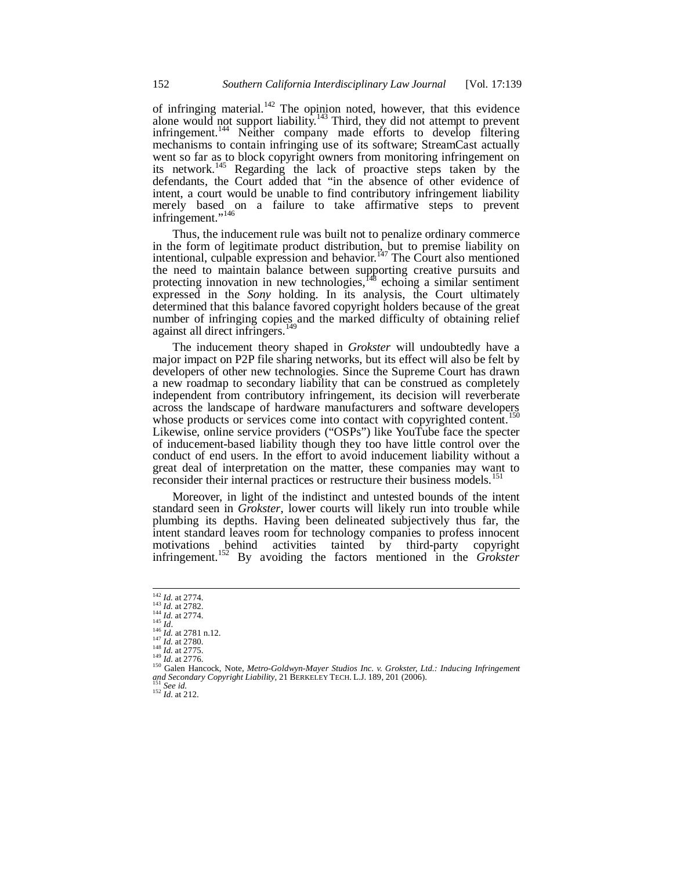of infringing material.<sup>142</sup> The opinion noted, however, that this evidence alone would not support liability.<sup>143</sup> Third, they did not attempt to prevent infringement.<sup>144</sup> Neither company made efforts to develop filtering mechanisms to contain infringing use of its software; StreamCast actually went so far as to block copyright owners from monitoring infringement on its network.<sup>145</sup> Regarding the lack of proactive steps taken by the defendants, the Court added that "in the absence of other evidence of intent, a court would be unable to find contributory infringement liability merely based on a failure to take affirmative steps to prevent infringement."<sup>146</sup>

Thus, the inducement rule was built not to penalize ordinary commerce in the form of legitimate product distribution, but to premise liability on intentional, culpable expression and behavior.<sup>147</sup> The Court also mentioned the need to maintain balance between supporting creative pursuits and protecting innovation in new technologies,  $^{148}$  echoing a similar sentiment expressed in the *Sony* holding. In its analysis, the Court ultimately determined that this balance favored copyright holders because of the great number of infringing copies and the marked difficulty of obtaining relief against all direct infringers.<sup>149</sup>

The inducement theory shaped in *Grokster* will undoubtedly have a major impact on P2P file sharing networks, but its effect will also be felt by developers of other new technologies. Since the Supreme Court has drawn a new roadmap to secondary liability that can be construed as completely independent from contributory infringement, its decision will reverberate across the landscape of hardware manufacturers and software developers whose products or services come into contact with copyrighted content.<sup>1</sup> Likewise, online service providers ("OSPs") like YouTube face the specter of inducement-based liability though they too have little control over the conduct of end users. In the effort to avoid inducement liability without a great deal of interpretation on the matter, these companies may want to reconsider their internal practices or restructure their business models.<sup>151</sup>

Moreover, in light of the indistinct and untested bounds of the intent standard seen in *Grokster*, lower courts will likely run into trouble while plumbing its depths. Having been delineated subjectively thus far, the intent standard leaves room for technology companies to profess innocent motivations behind activities tainted by third-party copyright infringement.<sup>152</sup> By avoiding the factors mentioned in the *Grokster*

<sup>151</sup> *See id.* <sup>152</sup> *Id.* at 212.

<sup>142</sup> *Id.* at 2774.

<sup>143</sup> *Id.* at 2782.

<sup>144</sup> *Id.* at 2774. <sup>145</sup> *Id*. <sup>146</sup> *Id.* at 2781 n.12.

<sup>147</sup> *Id.* at 2780. <sup>148</sup> *Id.* at 2775. <sup>149</sup> *Id.* at 2776.

<sup>150</sup> Galen Hancock, Note, *Metro-Goldwyn-Mayer Studios Inc. v. Grokster, Ltd.: Inducing Infringement and Secondary Copyright Liability*, 21 BERKELEY TECH. L.J. 189, 201 (2006).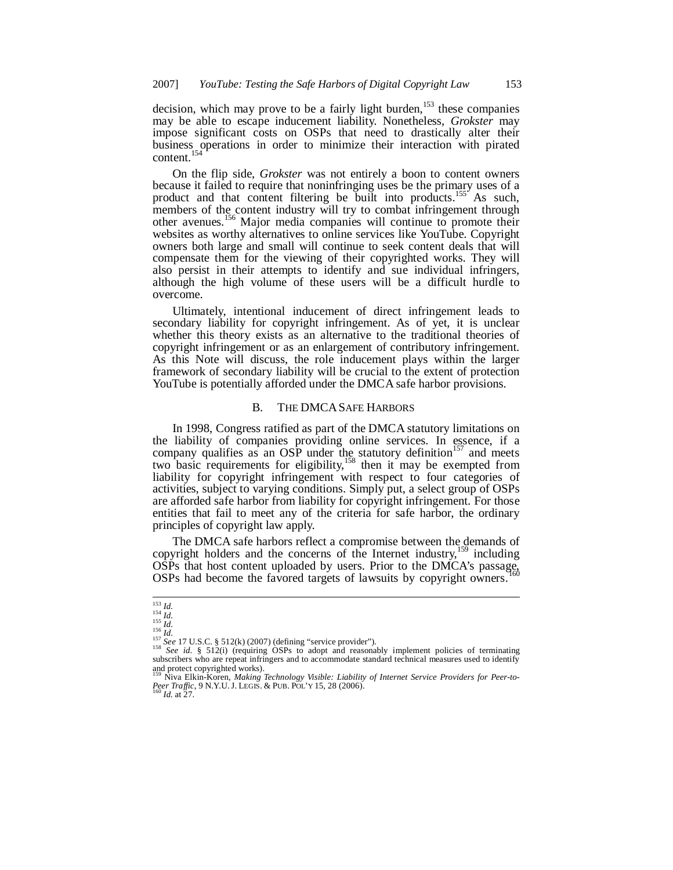decision, which may prove to be a fairly light burden,<sup>153</sup> these companies may be able to escape inducement liability. Nonetheless, *Grokster* may impose significant costs on OSPs that need to drastically alter their business operations in order to minimize their interaction with pirated content.<sup>154</sup>

On the flip side, *Grokster* was not entirely a boon to content owners because it failed to require that noninfringing uses be the primary uses of a product and that content filtering be built into products.<sup>155</sup> As such, members of the content industry will try to combat infringement through other avenues.<sup>156</sup> Major media companies will continue to promote their websites as worthy alternatives to online services like YouTube. Copyright owners both large and small will continue to seek content deals that will compensate them for the viewing of their copyrighted works. They will also persist in their attempts to identify and sue individual infringers, although the high volume of these users will be a difficult hurdle to overcome.

Ultimately, intentional inducement of direct infringement leads to secondary liability for copyright infringement. As of yet, it is unclear whether this theory exists as an alternative to the traditional theories of copyright infringement or as an enlargement of contributory infringement. As this Note will discuss, the role inducement plays within the larger framework of secondary liability will be crucial to the extent of protection YouTube is potentially afforded under the DMCA safe harbor provisions.

#### B. THE DMCASAFE HARBORS

In 1998, Congress ratified as part of the DMCA statutory limitations on the liability of companies providing online services. In essence, if a company qualifies as an OSP under the statutory definition<sup>157</sup> and meets two basic requirements for eligibility,  $158$  then it may be exempted from liability for copyright infringement with respect to four categories of activities, subject to varying conditions. Simply put, a select group of OSPs are afforded safe harbor from liability for copyright infringement. For those entities that fail to meet any of the criteria for safe harbor, the ordinary principles of copyright law apply.

The DMCA safe harbors reflect a compromise between the demands of copyright holders and the concerns of the Internet industry,<sup>159</sup> including OSPs that host content uploaded by users. Prior to the DMCA's passage, OSPs had become the favored targets of lawsuits by copyright owners.

<sup>153</sup> *Id.*

<sup>154</sup> *Id.* <sup>155</sup> *Id.* <sup>156</sup> *Id.*

<sup>&</sup>lt;sup>157</sup> See 17 U.S.C. § 512(k) (2007) (defining "service provider").<br><sup>158</sup> See id. § 512(i) (requiring OSPs to adopt and reasonably implement policies of terminating subscribers who are repeat infringers and to accommodate

and protect copyrighted works).<br><sup>159</sup> Niva Elkin-Koren, *Making Technology Visible: Liability of Internet Service Providers for Peer-to-<br><i>Peer Traffic*, 9 N.Y.U. J. LEGIS. & PUB. POL'Y 15, 28 (2006).<br><sup>160</sup> Id. at 27.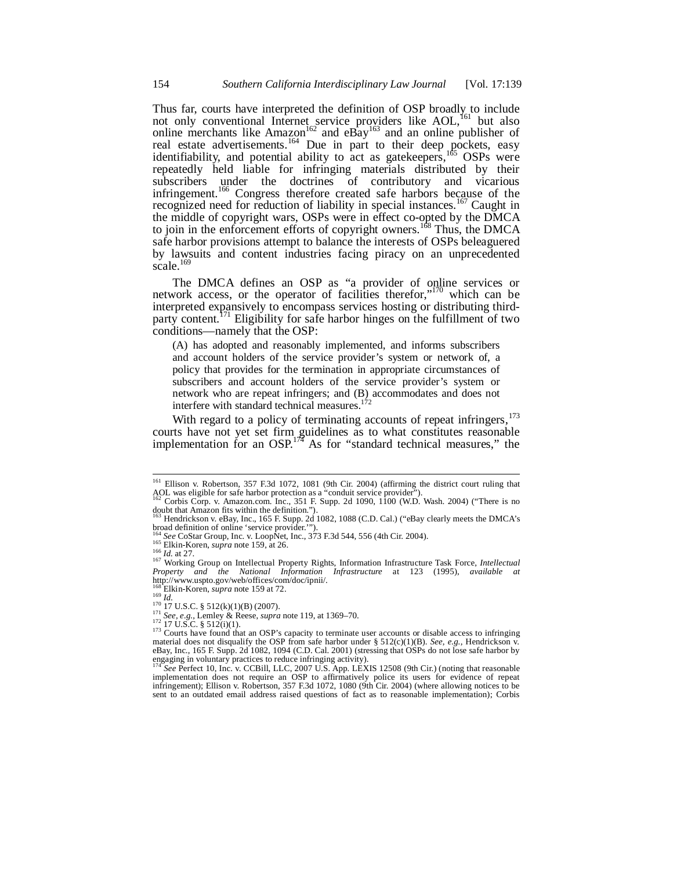Thus far, courts have interpreted the definition of OSP broadly to include not only conventional Internet service providers like AOL,<sup>161</sup> but also online merchants like Amazon<sup>162</sup> and eBay<sup>163</sup> and an online publisher of real estate advertisements.<sup>164</sup> Due in part to their deep pockets, easy identifiability, and potential ability to act as gatekeepers, $1^{165}$  OSPs were repeatedly held liable for infringing materials distributed by their subscribers under the doctrines of contributory and vicarious infringement.<sup>166</sup> Congress therefore created safe harbors because of the recognized need for reduction of liability in special instances.<sup>167</sup> Caught in the middle of copyright wars, OSPs were in effect co-opted by the DMCA to join in the enforcement efforts of copyright owners.<sup>168</sup> Thus, the DMCA safe harbor provisions attempt to balance the interests of OSPs beleaguered by lawsuits and content industries facing piracy on an unprecedented scale.<sup>169</sup>

The DMCA defines an OSP as "a provider of online services or network access, or the operator of facilities therefor,"<sup>170</sup> which can be interpreted expansively to encompass services hosting or distributing thirdparty content.<sup>171</sup> Eligibility for safe harbor hinges on the fulfillment of two conditions—namely that the OSP:

(A) has adopted and reasonably implemented, and informs subscribers and account holders of the service provider's system or network of, a policy that provides for the termination in appropriate circumstances of subscribers and account holders of the service provider's system or network who are repeat infringers; and (B) accommodates and does not interfere with standard technical measures.<sup>172</sup>

With regard to a policy of terminating accounts of repeat infringers,<sup>173</sup> courts have not yet set firm guidelines as to what constitutes reasonable implementation for an  $OSP<sup>1/4</sup>$  As for "standard technical measures," the

<sup>161</sup> Ellison v. Robertson, 357 F.3d 1072, 1081 (9th Cir. 2004) (affirming the district court ruling that AOL was eligible for safe harbor protection as a "conduit service provider").<br><sup>162</sup> Corbis Corp. v. Amazon.com. Inc., 351 F. Supp. 2d 1090, 1100 (W.D. Wash. 2004) ("There is no

doubt that Amazon fits within the definition.").<br><sup>163</sup> Hendrickson v. eBay, Inc., 165 F. Supp. 2d 1082, 1088 (C.D. Cal.) ("eBay clearly meets the DMCA's

broad definition of online 'service provider.'").

<sup>&</sup>lt;sup>164</sup> See CoStar Group, Inc. v. LoopNet, Inc., 373 F.3d 544, 556 (4th Cir. 2004).<br><sup>165</sup> Elkin-Koren, *supra* note 159, at 26.

<sup>166</sup> *Id.* at 27.

<sup>167</sup> Working Group on Intellectual Property Rights, Information Infrastructure Task Force, *Intellectual Property and the National Information Infrastructure* at 123 (1995), *available at* http://www.uspto.gov/web/offices/com/doc/ipnii/.

<sup>&</sup>lt;sup>168</sup> Elkin-Koren, *supra* note 159 at 72.<br><sup>169</sup> *Id.*<br><sup>170</sup> 17 U.S.C. § 512(k)(1)(B) (2007).

<sup>&</sup>lt;sup>171</sup> *See, e.g.*, Lemley & Reese, *supra* note 119, at 1369–70.<br><sup>172</sup> 17 U.S.C. § 512(i)(1).

<sup>&</sup>lt;sup>173</sup> Courts have found that an OSP's capacity to terminate user accounts or disable access to infringing material does not disqualify the OSP from safe harbor under § 512(c)(1)(B). *See, e.g.*, Hendrickson v.<br>eBay, Inc., 165 F. Supp. 2d 1082, 1094 (C.D. Cal. 2001) (stressing that OSPs do not lose safe harbor by engaging in voluntary practices to reduce infringing activity).

<sup>&</sup>lt;sup>174</sup> See Perfect 10, Inc. v. CCBill, LLC, 2007 U.S. App. LEXIS 12508 (9th Cir.) (noting that reasonable implementation does not require an OSP to affirmatively police its users for evidence of repeat infringement); Ellison v. Robertson, 357 F.3d 1072, 1080 (9th Cir. 2004) (where allowing notices to be sent to an outdated email address raised questions of fact as to reasonable implementation); Corbis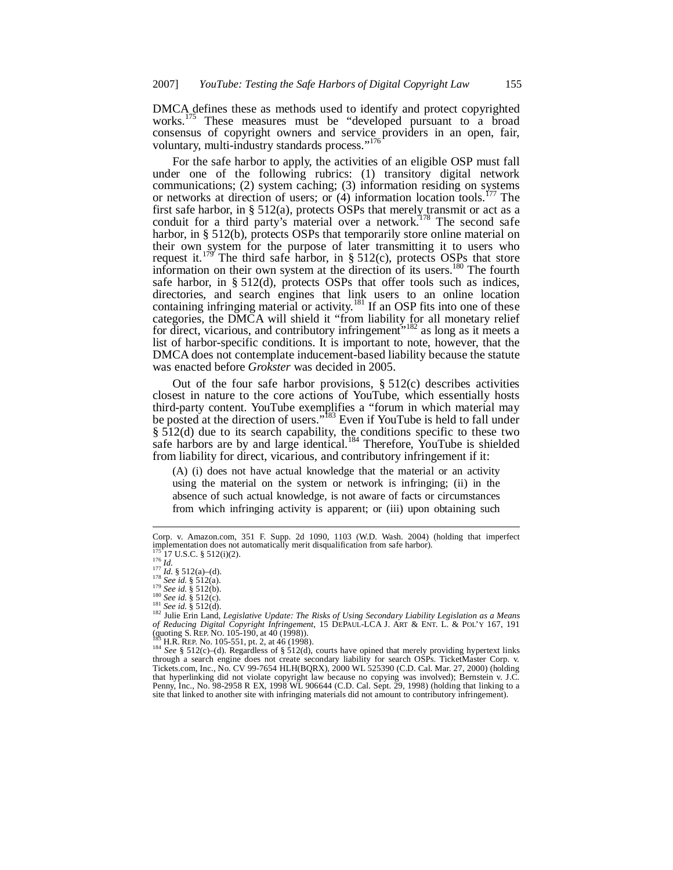DMCA defines these as methods used to identify and protect copyrighted works.<sup>175</sup> These measures must be "developed pursuant to a broad consensus of copyright owners and service providers in an open, fair, voluntary, multi-industry standards process."<sup>176</sup>

For the safe harbor to apply, the activities of an eligible OSP must fall under one of the following rubrics: (1) transitory digital network communications; (2) system caching; (3) information residing on systems or networks at direction of users; or  $(4)$  information location tools.<sup>177</sup> The first safe harbor, in § 512(a), protects OSPs that merely transmit or act as a conduit for a third party's material over a network.<sup>178</sup> The second safe harbor, in § 512(b), protects OSPs that temporarily store online material on their own system for the purpose of later transmitting it to users who request it.<sup>179</sup> The third safe harbor, in § 512(c), protects OSPs that store information on their own system at the direction of its users.<sup>180</sup> The fourth safe harbor, in § 512(d), protects OSPs that offer tools such as indices, directories, and search engines that link users to an online location containing infringing material or activity.<sup>181</sup> If an OSP fits into one of these categories, the DMCA will shield it "from liability for all monetary relief for direct, vicarious, and contributory infringement<sup> $5182$ </sup> as long as it meets a list of harbor-specific conditions. It is important to note, however, that the DMCA does not contemplate inducement-based liability because the statute was enacted before *Grokster* was decided in 2005.

Out of the four safe harbor provisions,  $\S 512(c)$  describes activities closest in nature to the core actions of YouTube, which essentially hosts third-party content. YouTube exemplifies a "forum in which material may be posted at the direction of users."<sup>183</sup> Even if YouTube is held to fall under § 512(d) due to its search capability, the conditions specific to these two safe harbors are by and large identical.<sup>184</sup> Therefore, YouTube is shielded from liability for direct, vicarious, and contributory infringement if it:

(A) (i) does not have actual knowledge that the material or an activity using the material on the system or network is infringing; (ii) in the absence of such actual knowledge, is not aware of facts or circumstances from which infringing activity is apparent; or (iii) upon obtaining such

Corp. v. Amazon.com, 351 F. Supp. 2d 1090, 1103 (W.D. Wash. 2004) (holding that imperfect implementation does not automatically merit disqualification from safe harbor).  $175^{17}$ 17 U.S.C. § 512(i)(2).

<sup>176</sup> *Id.* <sup>177</sup> *Id.* § 512(a)–(d). <sup>178</sup> *See id.* § 512(a).

<sup>179</sup> *See id.* § 512(b). <sup>180</sup> *See id.* § 512(c).

<sup>181</sup> *See id.* § 512(d).

<sup>182</sup> Julie Erin Land, *Legislative Update: The Risks of Using Secondary Liability Legislation as a Means of Reducing Digital Copyright Infringement*, 15 DEPAUL-LCA J. ART & ENT. L. & POL'Y 167, 191 (quoting S. REP. No. 105-190, at 40 (1998)).

H.R. REP. No. 105-551, pt. 2, at 46 (1998).

<sup>184</sup> *See* § 512(c)–(d). Regardless of § 512(d), courts have opined that merely providing hypertext links<br>184 *See* § 512(c)–(d). Regardless of § 512(d), courts have opined that merely providing hypertext links through a search engine does not create secondary liability for search OSPs. TicketMaster Corp. v. Tickets.com, Inc., No. CV 99-7654 HLH(BQRX), 2000 WL 525390 (C.D. Cal. Mar. 27, 2000) (holding that hyperlinking did not violate copyright law because no copying was involved); Bernstein v. J.C. Penny, Inc., No. 98-2958 R EX, 1998 WL 906644 (C.D. Cal. Sept. 29, 1998) (holding that linking to a site that linked to another site with infringing materials did not amount to contributory infringement).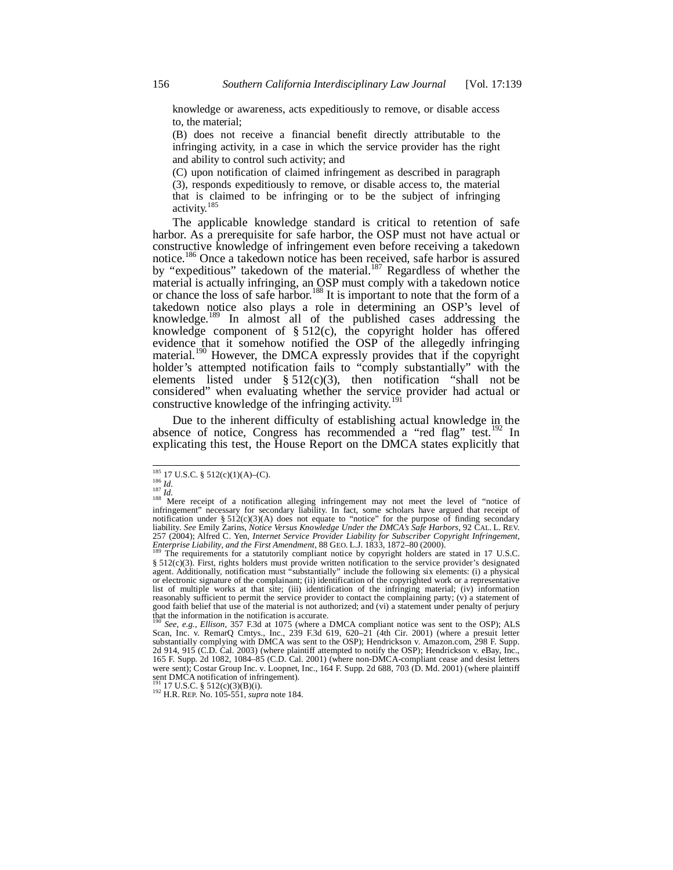knowledge or awareness, acts expeditiously to remove, or disable access to, the material;

(B) does not receive a financial benefit directly attributable to the infringing activity, in a case in which the service provider has the right and ability to control such activity; and

(C) upon notification of claimed infringement as described in paragraph (3), responds expeditiously to remove, or disable access to, the material that is claimed to be infringing or to be the subject of infringing activity.<sup>185</sup>

The applicable knowledge standard is critical to retention of safe harbor. As a prerequisite for safe harbor, the OSP must not have actual or constructive knowledge of infringement even before receiving a takedown notice.<sup>186</sup> Once a takedown notice has been received, safe harbor is assured by "expeditious" takedown of the material.<sup>187</sup> Regardless of whether the material is actually infringing, an OSP must comply with a takedown notice or chance the loss of safe harbor.<sup>188</sup> It is important to note that the form of a takedown notice also plays a role in determining an OSP's level of knowledge.<sup>189</sup> In almost all of the published cases addressing the knowledge component of § 512(c), the copyright holder has offered evidence that it somehow notified the OSP of the allegedly infringing material.<sup>190</sup> However, the DMCA expressly provides that if the copyright holder's attempted notification fails to "comply substantially" with the elements listed under  $\S 512(c)(3)$ , then notification "shall not be considered" when evaluating whether the service provider had actual or constructive knowledge of the infringing activity.<sup>1</sup>

Due to the inherent difficulty of establishing actual knowledge in the absence of notice, Congress has recommended a "red flag" test.<sup>192</sup> In explicating this test, the House Report on the DMCA states explicitly that

 $185$  17 U.S.C. § 512(c)(1)(A)–(C).

<sup>186</sup> *Id.*<br><sup>187</sup> *Id.*<br><sup>188</sup> Mere receipt of a notification alleging infringement may not meet the level of "notice of infringement" necessary for secondary liability. In fact, some scholars have argued that receipt of notification under § 512(c)(3)(A) does not equate to "notice" for the purpose of finding secondary liability. *See* Emily Zarins, *Notice Versus Knowledge Under the DMCA's Safe Harbors,* 92 CAL. L. REV. 257 (2004); Alfred C. Yen, *Internet Service Provider Liability for Subscriber Copyright Infringement,*

*Enterprise Liability, and the First Amendment*, 88 GEO. L.J. 1833, 1872–80 (2000).<br><sup>189</sup> The requirements for a statutorily compliant notice by copyright holders are stated in 17 U.S.C. § 512(c)(3). First, rights holders must provide written notification to the service provider's designated agent. Additionally, notification must "substantially" include the following six elements: (i) a physical or electronic signature of the complainant; (ii) identification of the copyrighted work or a representative list of multiple works at that site; (iii) identification of the infringing material; (iv) information reasonably sufficient to permit the service provider to contact the complaining party;  $(v)$  a statement of good faith belief that use of the material is not authorized; and (vi) a statement under penalty of perjury that the information in the notification is accurate. <sup>190</sup> *See, e.g., Ellison*, 357 F.3d at 1075 (where a DMCA compliant notice was sent to the OSP); ALS

Scan, Inc. v. RemarQ Cmtys., Inc., 239 F.3d 619, 620–21 (4th Cir. 2001) (where a presuit letter substantially complying with DMCA was sent to the OSP); Hendrickson v. Amazon.com, 298 F. Supp. 2d 914, 915 (C.D. Cal. 2003) (where plaintiff attempted to notify the OSP); Hendrickson v. eBay, Inc., 165 F. Supp. 2d 1082, 1084–85 (C.D. Cal. 2001) (where non-DMCA-compliant cease and desist letters were sent); Costar Group Inc. v. Loopnet, Inc., 164 F. Supp. 2d 688, 703 (D. Md. 2001) (where plaintiff sent DMCA notification of infringement).<br><sup>191</sup> 17 U.S.C. § 512(c)(3)(B)(i).

<sup>192</sup> H.R. REP. No. 105-551, *supra* note 184.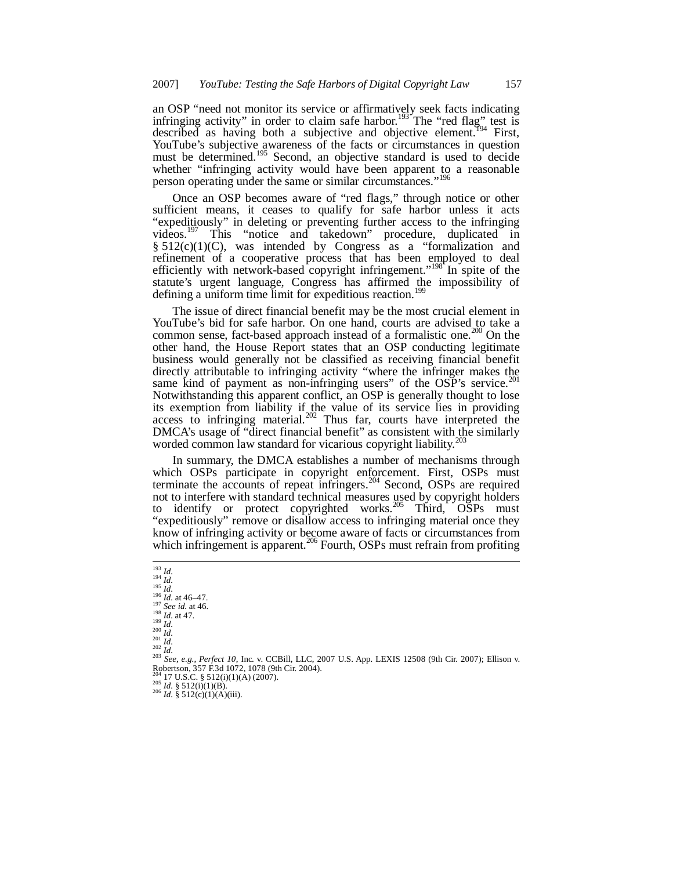an OSP "need not monitor its service or affirmatively seek facts indicating infringing activity" in order to claim safe harbor.<sup>193</sup> The "red flag" test is described as having both a subjective and objective element.<sup>194</sup> First, YouTube's subjective awareness of the facts or circumstances in question must be determined.<sup>195</sup> Second, an objective standard is used to decide whether "infringing activity would have been apparent to a reasonable person operating under the same or similar circumstances."<sup>196</sup>

Once an OSP becomes aware of "red flags," through notice or other sufficient means, it ceases to qualify for safe harbor unless it acts "expeditiously" in deleting or preventing further access to the infringing videos.<sup>197</sup> This "notice and takedown" procedure, duplicated in  $§ 512(c)(1)(C)$ , was intended by Congress as a "formalization and refinement of a cooperative process that has been employed to deal efficiently with network-based copyright infringement."<sup>198</sup> In spite of the statute's urgent language, Congress has affirmed the impossibility of defining a uniform time limit for expeditious reaction.<sup>199</sup>

The issue of direct financial benefit may be the most crucial element in YouTube's bid for safe harbor. On one hand, courts are advised to take a common sense, fact-based approach instead of a formalistic one.<sup>200</sup> On the other hand, the House Report states that an OSP conducting legitimate business would generally not be classified as receiving financial benefit directly attributable to infringing activity "where the infringer makes the same kind of payment as non-infringing users" of the OSP's service.<sup>2</sup> Notwithstanding this apparent conflict, an OSP is generally thought to lose its exemption from liability if the value of its service lies in providing access to infringing material.<sup>202</sup> Thus far, courts have interpreted the DMCA's usage of "direct financial benefit" as consistent with the similarly worded common law standard for vicarious copyright liability.<sup>203</sup>

In summary, the DMCA establishes a number of mechanisms through which OSPs participate in copyright enforcement. First, OSPs must terminate the  $\alpha$  accounts of repeat infringers.<sup>204</sup> Second, OSPs are required not to interfere with standard technical measures used by copyright holders to identify or protect copyrighted works.<sup>205</sup> Third, OSPs must "expeditiously" remove or disallow access to infringing material once they know of infringing activity or become aware of facts or circumstances from which infringement is apparent.<sup>206</sup> Fourth, OSPs must refrain from profiting

 *Id.* <sup>194</sup> *Id. Id.* <sup>196</sup> *Id.* at 46–47. <sup>197</sup> *See id.* at 46. *Id.* at 47. <sup>199</sup> *Id.* <sup>200</sup> *Id. Id.* <sup>202</sup> *Id. See, e.g., Perfect 10*, Inc. v. CCBill, LLC, 2007 U.S. App. LEXIS 12508 (9th Cir. 2007); Ellison v. Robertson, 357 F.3d 1072, 1078 (9th Cir. 2004).<br><sup>204</sup><sub>11</sub> 17 U.S.C. § 512(i)(1)(A) (2007).  $^{205}$  *Id.* § 512(i)(1)(B).

 $^{206}$  *Id.* § 512(c)(1)(A)(iii).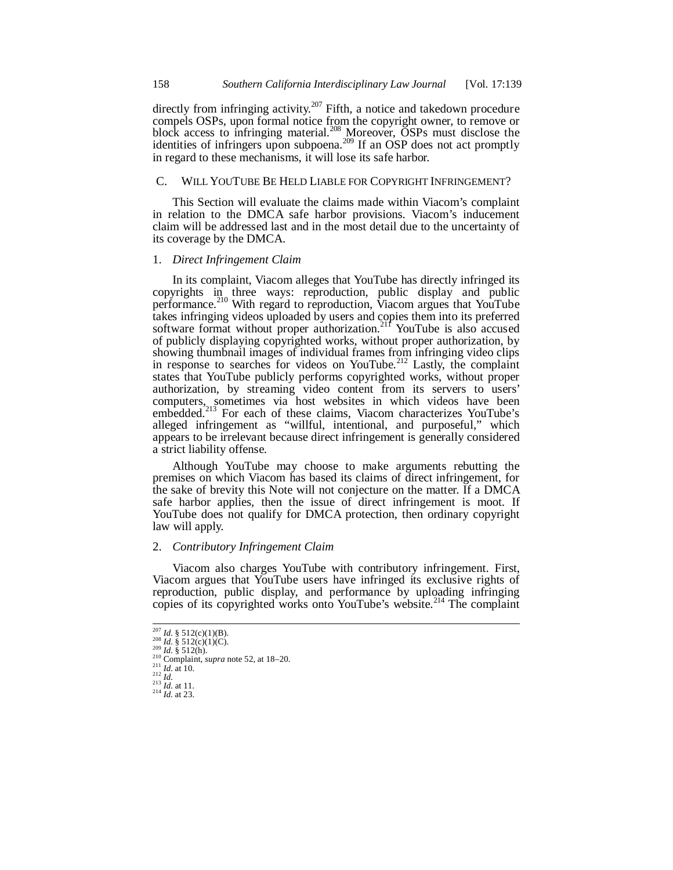directly from infringing activity.<sup>207</sup> Fifth, a notice and takedown procedure compels OSPs, upon formal notice from the copyright owner, to remove or block access to infringing material.<sup>208</sup> Moreover, OSPs must disclose the identities of infringers upon subpoena.<sup>209</sup> If an OSP does not act promptly in regard to these mechanisms, it will lose its safe harbor.

# C. WILL YOUTUBE BE HELD LIABLE FOR COPYRIGHT INFRINGEMENT?

This Section will evaluate the claims made within Viacom's complaint in relation to the DMCA safe harbor provisions. Viacom's inducement claim will be addressed last and in the most detail due to the uncertainty of its coverage by the DMCA.

## 1. *Direct Infringement Claim*

In its complaint, Viacom alleges that YouTube has directly infringed its copyrights in three ways: reproduction, public display and public performance.<sup>210</sup> With regard to reproduction, Viacom argues that YouTube takes infringing videos uploaded by users and copies them into its preferred software format without proper authorization.<sup>211</sup> YouTube is also accused of publicly displaying copyrighted works, without proper authorization, by showing thumbnail images of individual frames from infringing video clips in response to searches for videos on YouTube.<sup>212</sup> Lastly, the complaint states that YouTube publicly performs copyrighted works, without proper authorization, by streaming video content from its servers to users' computers, sometimes via host websites in which videos have been embedded.<sup>213</sup> For each of these claims, Viacom characterizes YouTube's alleged infringement as "willful, intentional, and purposeful," which appears to be irrelevant because direct infringement is generally considered a strict liability offense.

Although YouTube may choose to make arguments rebutting the premises on which Viacom has based its claims of direct infringement, for the sake of brevity this Note will not conjecture on the matter. If a DMCA safe harbor applies, then the issue of direct infringement is moot. If YouTube does not qualify for DMCA protection, then ordinary copyright law will apply.

## 2. *Contributory Infringement Claim*

Viacom also charges YouTube with contributory infringement. First, Viacom argues that YouTube users have infringed its exclusive rights of reproduction, public display, and performance by uploading infringing copies of its copyrighted works onto YouTube's website.<sup>214</sup> The complaint

 $^{207}$  *Id.* § 512(c)(1)(B).

<sup>208</sup> *Id.* § 512(c)(1)(C). <sup>209</sup> *Id.* § 512(h).

 $\frac{1}{210}$  Complaint, *supra* note 52, at 18–20.

<sup>211</sup> *Id.* at 10. <sup>212</sup> *Id.* <sup>213</sup> *Id.* at 11.

<sup>214</sup> *Id.* at 23.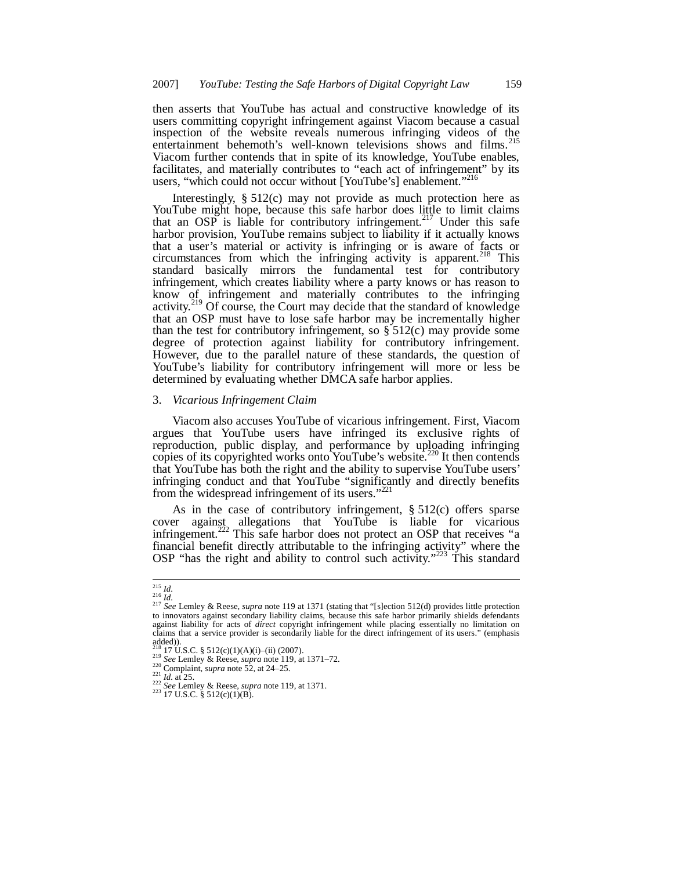then asserts that YouTube has actual and constructive knowledge of its users committing copyright infringement against Viacom because a casual inspection of the website reveals numerous infringing videos of the entertainment behemoth's well-known televisions shows and films.<sup>215</sup> Viacom further contends that in spite of its knowledge, YouTube enables, facilitates, and materially contributes to "each act of infringement" by its users, "which could not occur without [YouTube's] enablement."<sup>216</sup>

Interestingly, § 512(c) may not provide as much protection here as YouTube might hope, because this safe harbor does little to limit claims that an OSP is liable for contributory infringement.<sup>217</sup> Under this safe harbor provision, YouTube remains subject to liability if it actually knows that a user's material or activity is infringing or is aware of facts or circumstances from which the infringing activity is apparent.<sup>218</sup> This standard basically mirrors the fundamental test for contributory infringement, which creates liability where a party knows or has reason to know of infringement and materially contributes to the infringing activity.<sup>219</sup> Of course, the Court may decide that the standard of knowledge that an OSP must have to lose safe harbor may be incrementally higher than the test for contributory infringement, so  $\S$  512(c) may provide some degree of protection against liability for contributory infringement. However, due to the parallel nature of these standards, the question of YouTube's liability for contributory infringement will more or less be determined by evaluating whether DMCA safe harbor applies.

## 3. *Vicarious Infringement Claim*

Viacom also accuses YouTube of vicarious infringement. First, Viacom argues that YouTube users have infringed its exclusive rights of reproduction, public display, and performance by uploading infringing copies of its copyrighted works onto YouTube's website.<sup>220</sup> It then contends that YouTube has both the right and the ability to supervise YouTube users' infringing conduct and that YouTube "significantly and directly benefits from the widespread infringement of its users."<sup>221</sup>

As in the case of contributory infringement, § 512(c) offers sparse cover against allegations that YouTube is liable for vicarious infringement.<sup>222</sup> This safe harbor does not protect an OSP that receives "a financial benefit directly attributable to the infringing activity" where the OSP "has the right and ability to control such activity."<sup>223</sup> This standard

 $223$  17 U.S.C. § 512(c)(1)(B).

<sup>215</sup> *Id.* <sup>216</sup> *Id.* <sup>217</sup> *See* Lemley & Reese, *supra* note 119 at 1371 (stating that "[s]ection 512(d) provides little protection to innovators against secondary liability claims, because this safe harbor primarily shields defendants against liability for acts of *direct* copyright infringement while placing essentially no limitation on claims that a service provider is secondarily liable for the direct infringement of its users." (emphasis added)).

 $17\,\text{U.S.C.}$  §  $512\,\text{(c)}(1)(\text{A})(i)$ –(ii) (2007).

<sup>219</sup> *See* Lemley & Reese, *supra* note 119, at 1371–72.

<sup>220</sup> Complaint, *supra* note 52, at 24–25.

 $^{221}$  *Id.* at 25.

<sup>222</sup> *See* Lemley & Reese, *supra* note 119, at 1371.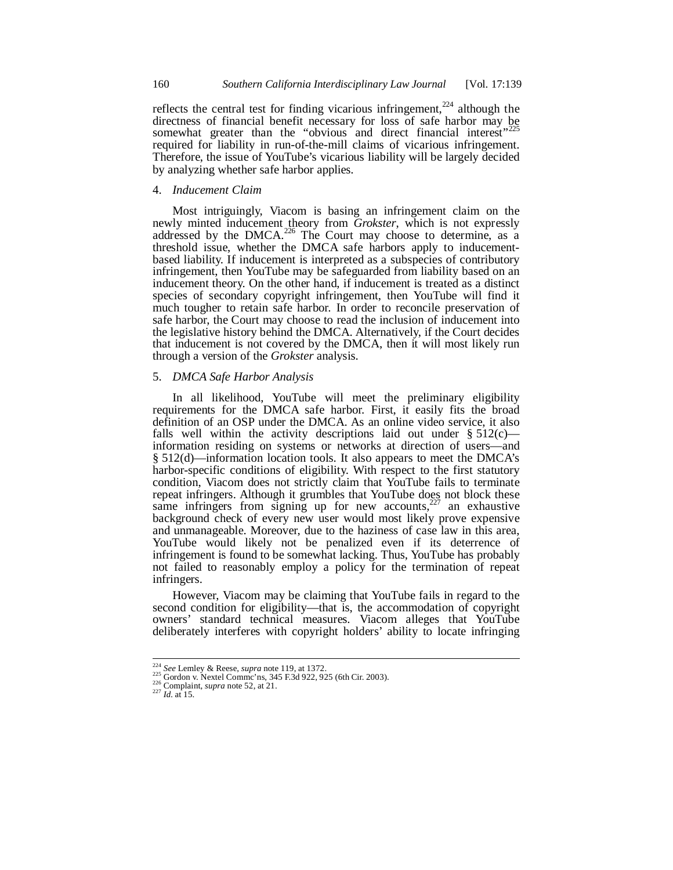reflects the central test for finding vicarious infringement,<sup>224</sup> although the directness of financial benefit necessary for loss of safe harbor may be<br>directness of financial benefit necessary for loss of safe harbor may be somewhat greater than the "obvious and direct financial interest" required for liability in run-of-the-mill claims of vicarious infringement. Therefore, the issue of YouTube's vicarious liability will be largely decided by analyzing whether safe harbor applies.

## 4. *Inducement Claim*

Most intriguingly, Viacom is basing an infringement claim on the newly minted inducement theory from *Grokster*, which is not expressly addressed by the DMCA.<sup>226</sup> The Court may choose to determine, as a threshold issue, whether the DMCA safe harbors apply to inducementbased liability. If inducement is interpreted as a subspecies of contributory infringement, then YouTube may be safeguarded from liability based on an inducement theory. On the other hand, if inducement is treated as a distinct species of secondary copyright infringement, then YouTube will find it much tougher to retain safe harbor. In order to reconcile preservation of safe harbor, the Court may choose to read the inclusion of inducement into the legislative history behind the DMCA. Alternatively, if the Court decides that inducement is not covered by the DMCA, then it will most likely run through a version of the *Grokster* analysis.

## 5. *DMCA Safe Harbor Analysis*

In all likelihood, YouTube will meet the preliminary eligibility requirements for the DMCA safe harbor. First, it easily fits the broad definition of an OSP under the DMCA. As an online video service, it also falls well within the activity descriptions laid out under  $\S 512(c)$  information residing on systems or networks at direction of users—and § 512(d)—information location tools. It also appears to meet the DMCA's harbor-specific conditions of eligibility. With respect to the first statutory condition, Viacom does not strictly claim that YouTube fails to terminate repeat infringers. Although it grumbles that YouTube does not block these same infringers from signing up for new accounts, $227$  an exhaustive background check of every new user would most likely prove expensive and unmanageable. Moreover, due to the haziness of case law in this area, YouTube would likely not be penalized even if its deterrence of infringement is found to be somewhat lacking. Thus, YouTube has probably not failed to reasonably employ a policy for the termination of repeat infringers.

However, Viacom may be claiming that YouTube fails in regard to the second condition for eligibility—that is, the accommodation of copyright owners' standard technical measures. Viacom alleges that YouTube deliberately interferes with copyright holders' ability to locate infringing

<sup>224</sup> *See* Lemley & Reese, *supra* note 119, at 1372. <sup>225</sup> Gordon v. Nextel Commc'ns, 345 F.3d 922, 925 (6th Cir. 2003).

<sup>226</sup> Complaint, *supra* note 52, at 21.

 $^{227}$  *Id.* at 15.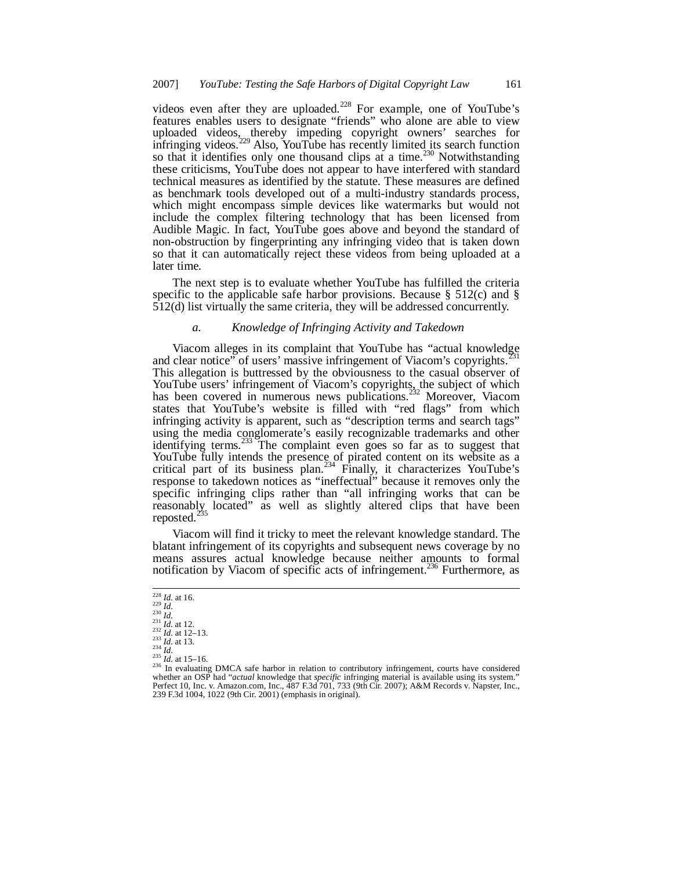videos even after they are uploaded.<sup>228</sup> For example, one of YouTube's features enables users to designate "friends" who alone are able to view uploaded videos, thereby impeding copyright owners' searches for infringing videos.<sup>229</sup> Also, YouTube has recently limited its search function so that it identifies only one thousand clips at a time.<sup>230</sup> Notwithstanding these criticisms, YouTube does not appear to have interfered with standard technical measures as identified by the statute. These measures are defined as benchmark tools developed out of a multi-industry standards process, which might encompass simple devices like watermarks but would not include the complex filtering technology that has been licensed from Audible Magic. In fact, YouTube goes above and beyond the standard of non-obstruction by fingerprinting any infringing video that is taken down so that it can automatically reject these videos from being uploaded at a later time.

The next step is to evaluate whether YouTube has fulfilled the criteria specific to the applicable safe harbor provisions. Because  $\S$  512(c) and  $\S$ 512(d) list virtually the same criteria, they will be addressed concurrently.

## *a. Knowledge of Infringing Activity and Takedown*

Viacom alleges in its complaint that YouTube has "actual knowledge and clear notice" of users' massive infringement of Viacom's copyrights.<sup>2</sup> This allegation is buttressed by the obviousness to the casual observer of YouTube users' infringement of Viacom's copyrights, the subject of which has been covered in numerous news publications.<sup>232</sup> Moreover, Viacom states that YouTube's website is filled with "red flags" from which infringing activity is apparent, such as "description terms and search tags" using the media conglomerate's easily recognizable trademarks and other identifying terms. $^{233}$  The complaint even goes so far as to suggest that YouTube fully intends the presence of pirated content on its website as a critical part of its business plan.<sup>234</sup> Finally, it characterizes YouTube's response to takedown notices as "ineffectual" because it removes only the specific infringing clips rather than "all infringing works that can be reasonably located" as well as slightly altered clips that have been reposted. $^{23}$ 

Viacom will find it tricky to meet the relevant knowledge standard. The blatant infringement of its copyrights and subsequent news coverage by no means assures actual knowledge because neither amounts to formal notification by Viacom of specific acts of infringement.<sup>236</sup> Furthermore, as

<sup>228</sup> *Id.* at 16. <sup>229</sup> *Id.*

<sup>230</sup> *Id.* <sup>231</sup> *Id.* at 12. <sup>232</sup> *Id.* at 12–13.

<sup>233</sup> *Id.* at 13. <sup>234</sup> *Id.* <sup>235</sup> *Id.* at 15–16.

<sup>236</sup> In evaluating DMCA safe harbor in relation to contributory infringement, courts have considered whether an OSP had "*actual* knowledge that *specific* infringing material is available using its system." Perfect 10, Inc. v. Amazon.com, Inc., 487 F.3d 701, 733 (9th Cir. 2007); A&M Records v. Napster, Inc., 239 F.3d 1004, 1022 (9th Cir. 2001) (emphasis in original).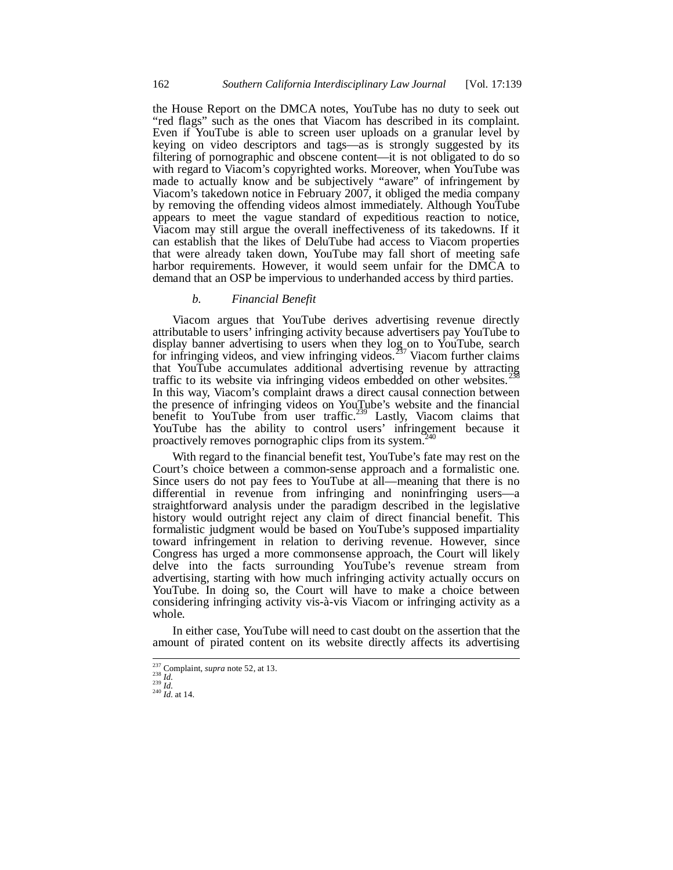the House Report on the DMCA notes, YouTube has no duty to seek out "red flags" such as the ones that Viacom has described in its complaint. Even if YouTube is able to screen user uploads on a granular level by keying on video descriptors and tags—as is strongly suggested by its filtering of pornographic and obscene content—it is not obligated to do so with regard to Viacom's copyrighted works. Moreover, when YouTube was made to actually know and be subjectively "aware" of infringement by Viacom's takedown notice in February 2007, it obliged the media company by removing the offending videos almost immediately. Although YouTube appears to meet the vague standard of expeditious reaction to notice, Viacom may still argue the overall ineffectiveness of its takedowns. If it can establish that the likes of DeluTube had access to Viacom properties that were already taken down, YouTube may fall short of meeting safe harbor requirements. However, it would seem unfair for the DMCA to demand that an OSP be impervious to underhanded access by third parties.

#### *b. Financial Benefit*

Viacom argues that YouTube derives advertising revenue directly attributable to users' infringing activity because advertisers pay YouTube to display banner advertising to users when they log on to YouTube, search for infringing videos, and view infringing videos.<sup>257</sup> Viacom further claims that YouTube accumulates additional advertising revenue by attracting traffic to its website via infringing videos embedded on other websites.<sup>238</sup> In this way, Viacom's complaint draws a direct causal connection between the presence of infringing videos on YouTube's website and the financial benefit to YouTube from user traffic.<sup>239</sup> Lastly, Viacom claims that YouTube has the ability to control users' infringement because it proactively removes pornographic clips from its system.<sup>2</sup>

With regard to the financial benefit test, YouTube's fate may rest on the Court's choice between a common-sense approach and a formalistic one. Since users do not pay fees to YouTube at all—meaning that there is no differential in revenue from infringing and noninfringing users—a straightforward analysis under the paradigm described in the legislative history would outright reject any claim of direct financial benefit. This formalistic judgment would be based on YouTube's supposed impartiality toward infringement in relation to deriving revenue. However, since Congress has urged a more commonsense approach, the Court will likely delve into the facts surrounding YouTube's revenue stream from advertising, starting with how much infringing activity actually occurs on YouTube. In doing so, the Court will have to make a choice between considering infringing activity vis-à-vis Viacom or infringing activity as a whole.

In either case, YouTube will need to cast doubt on the assertion that the amount of pirated content on its website directly affects its advertising

<sup>237</sup> Complaint, *supra* note 52, at 13. <sup>238</sup> *Id.* <sup>239</sup> *Id.*

<sup>240</sup> *Id.* at 14.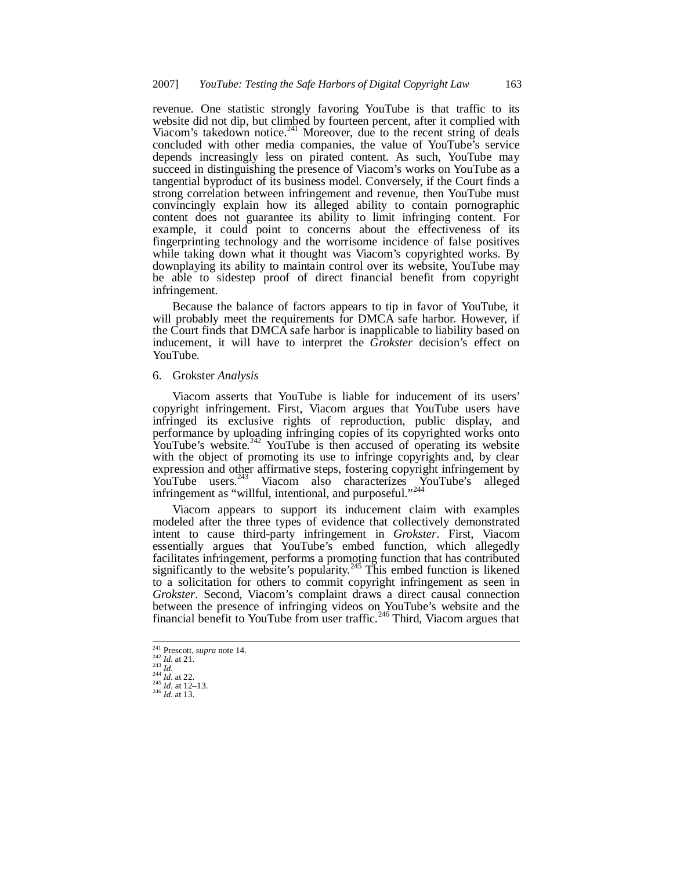revenue. One statistic strongly favoring YouTube is that traffic to its website did not dip, but climbed by fourteen percent, after it complied with Viacom's takedown notice.<sup>241</sup> Moreover, due to the recent string of deals concluded with other media companies, the value of YouTube's service depends increasingly less on pirated content. As such, YouTube may succeed in distinguishing the presence of Viacom's works on YouTube as a tangential byproduct of its business model. Conversely, if the Court finds a strong correlation between infringement and revenue, then YouTube must convincingly explain how its alleged ability to contain pornographic content does not guarantee its ability to limit infringing content. For example, it could point to concerns about the effectiveness of its fingerprinting technology and the worrisome incidence of false positives while taking down what it thought was Viacom's copyrighted works. By downplaying its ability to maintain control over its website, YouTube may be able to sidestep proof of direct financial benefit from copyright infringement.

Because the balance of factors appears to tip in favor of YouTube, it will probably meet the requirements for DMCA safe harbor. However, if the Court finds that DMCA safe harbor is inapplicable to liability based on inducement, it will have to interpret the *Grokster* decision's effect on YouTube.

## 6. Grokster *Analysis*

Viacom asserts that YouTube is liable for inducement of its users' copyright infringement. First, Viacom argues that YouTube users have infringed its exclusive rights of reproduction, public display, and performance by uploading infringing copies of its copyrighted works onto YouTube's website. $242$  YouTube is then accused of operating its website with the object of promoting its use to infringe copyrights and, by clear expression and other affirmative steps, fostering copyright infringement by YouTube users.<sup>243</sup> Viacom also characterizes YouTube's alleged infringement as "willful, intentional, and purposeful."<sup>244</sup>

Viacom appears to support its inducement claim with examples modeled after the three types of evidence that collectively demonstrated intent to cause third-party infringement in *Grokster*. First, Viacom essentially argues that YouTube's embed function, which allegedly facilitates infringement, performs a promoting function that has contributed significantly to the website's popularity.<sup>245</sup> This embed function is likened to a solicitation for others to commit copyright infringement as seen in *Grokster*. Second, Viacom's complaint draws a direct causal connection between the presence of infringing videos on YouTube's website and the financial benefit to YouTube from user traffic.<sup>246</sup> Third, Viacom argues that

<sup>241</sup> Prescott, *supra* note 14. <sup>242</sup> *Id.* at 21.

<sup>243</sup> *Id.* <sup>244</sup> *Id.* at 22. <sup>245</sup> *Id.* at 12–13.

<sup>246</sup> *Id.* at 13.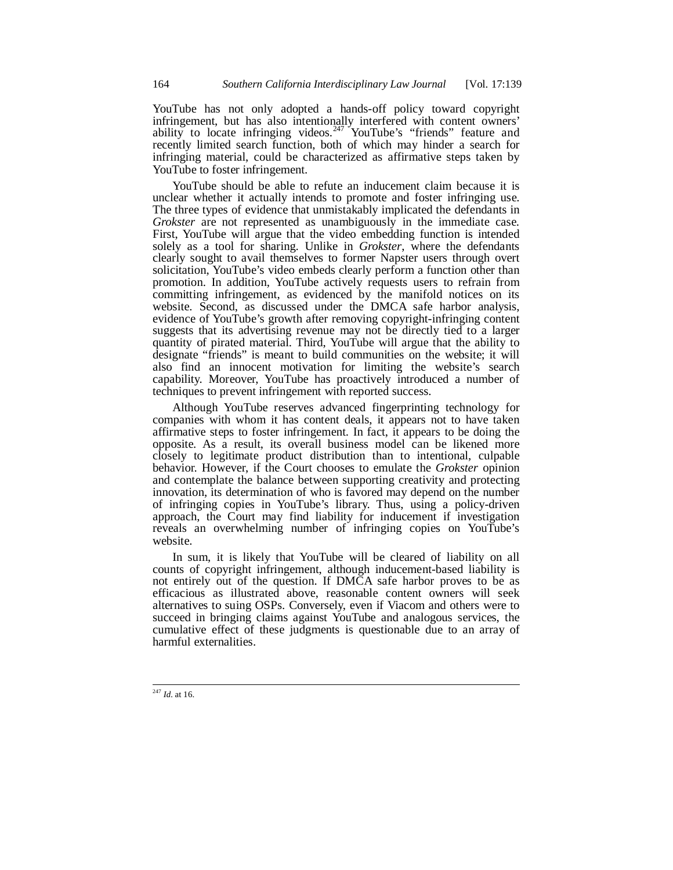YouTube has not only adopted a hands-off policy toward copyright infringement, but has also intentionally interfered with content owners' ability to locate infringing videos.  $247$  YouTube's "friends" feature and recently limited search function, both of which may hinder a search for infringing material, could be characterized as affirmative steps taken by YouTube to foster infringement.

YouTube should be able to refute an inducement claim because it is unclear whether it actually intends to promote and foster infringing use. The three types of evidence that unmistakably implicated the defendants in *Grokster* are not represented as unambiguously in the immediate case. First, YouTube will argue that the video embedding function is intended solely as a tool for sharing. Unlike in *Grokster*, where the defendants clearly sought to avail themselves to former Napster users through overt solicitation, YouTube's video embeds clearly perform a function other than promotion. In addition, YouTube actively requests users to refrain from committing infringement, as evidenced by the manifold notices on its website. Second, as discussed under the DMCA safe harbor analysis, evidence of YouTube's growth after removing copyright-infringing content suggests that its advertising revenue may not be directly tied to a larger quantity of pirated material. Third, YouTube will argue that the ability to designate "friends" is meant to build communities on the website; it will also find an innocent motivation for limiting the website's search capability. Moreover, YouTube has proactively introduced a number of techniques to prevent infringement with reported success.

Although YouTube reserves advanced fingerprinting technology for companies with whom it has content deals, it appears not to have taken affirmative steps to foster infringement. In fact, it appears to be doing the opposite. As a result, its overall business model can be likened more closely to legitimate product distribution than to intentional, culpable behavior. However, if the Court chooses to emulate the *Grokster* opinion and contemplate the balance between supporting creativity and protecting innovation, its determination of who is favored may depend on the number of infringing copies in YouTube's library. Thus, using a policy-driven approach, the Court may find liability for inducement if investigation reveals an overwhelming number of infringing copies on YouTube's website.

In sum, it is likely that YouTube will be cleared of liability on all counts of copyright infringement, although inducement-based liability is not entirely out of the question. If DMCA safe harbor proves to be as efficacious as illustrated above, reasonable content owners will seek alternatives to suing OSPs. Conversely, even if Viacom and others were to succeed in bringing claims against YouTube and analogous services, the cumulative effect of these judgments is questionable due to an array of harmful externalities.

<sup>247</sup> *Id.* at 16.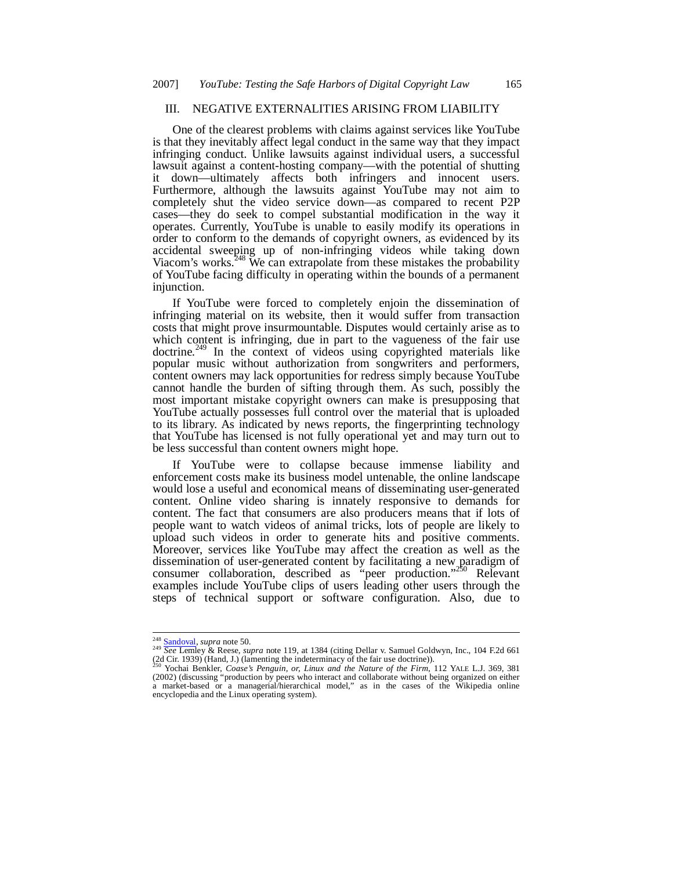## III. NEGATIVE EXTERNALITIES ARISING FROM LIABILITY

One of the clearest problems with claims against services like YouTube is that they inevitably affect legal conduct in the same way that they impact infringing conduct. Unlike lawsuits against individual users, a successful lawsuit against a content-hosting company—with the potential of shutting it down—ultimately affects both infringers and innocent users. Furthermore, although the lawsuits against YouTube may not aim to completely shut the video service down—as compared to recent P2P cases—they do seek to compel substantial modification in the way it operates. Currently, YouTube is unable to easily modify its operations in order to conform to the demands of copyright owners, as evidenced by its accidental sweeping up of non-infringing videos while taking down Viacom's works.<sup>248</sup> We can extrapolate from these mistakes the probability of YouTube facing difficulty in operating within the bounds of a permanent iniunction.

If YouTube were forced to completely enjoin the dissemination of infringing material on its website, then it would suffer from transaction costs that might prove insurmountable. Disputes would certainly arise as to which content is infringing, due in part to the vagueness of the fair use doctrine.<sup>249</sup> In the context of videos using copyrighted materials like popular music without authorization from songwriters and performers, content owners may lack opportunities for redress simply because YouTube cannot handle the burden of sifting through them. As such, possibly the most important mistake copyright owners can make is presupposing that YouTube actually possesses full control over the material that is uploaded to its library. As indicated by news reports, the fingerprinting technology that YouTube has licensed is not fully operational yet and may turn out to be less successful than content owners might hope.

If YouTube were to collapse because immense liability and enforcement costs make its business model untenable, the online landscape would lose a useful and economical means of disseminating user-generated content. Online video sharing is innately responsive to demands for content. The fact that consumers are also producers means that if lots of people want to watch videos of animal tricks, lots of people are likely to upload such videos in order to generate hits and positive comments. Moreover, services like YouTube may affect the creation as well as the dissemination of user-generated content by facilitating a new paradigm of consumer collaboration, described as "peer production."<sup>250</sup> Relevant examples include YouTube clips of users leading other users through the steps of technical support or software configuration. Also, due to

<sup>&</sup>lt;sup>248</sup> Sandoval, *supra* note 50.<br><sup>249</sup> See Lemley & Reese, *supra* note 119, at 1384 (citing Dellar v. Samuel Goldwyn, Inc., 104 F.2d 661<br>(2d Cir. 1939) (Hand, J.) (lamenting the indeterminacy of the fair use doctrine)).

<sup>250</sup> Yochai Benkler, *Coase's Penguin, or, Linux and the Nature of the Firm*, 112 YALE L.J. 369, 381 (2002) (discussing "production by peers who interact and collaborate without being organized on either a market-based or a managerial/hierarchical model," as in the cases of the Wikipedia online encyclopedia and the Linux operating system).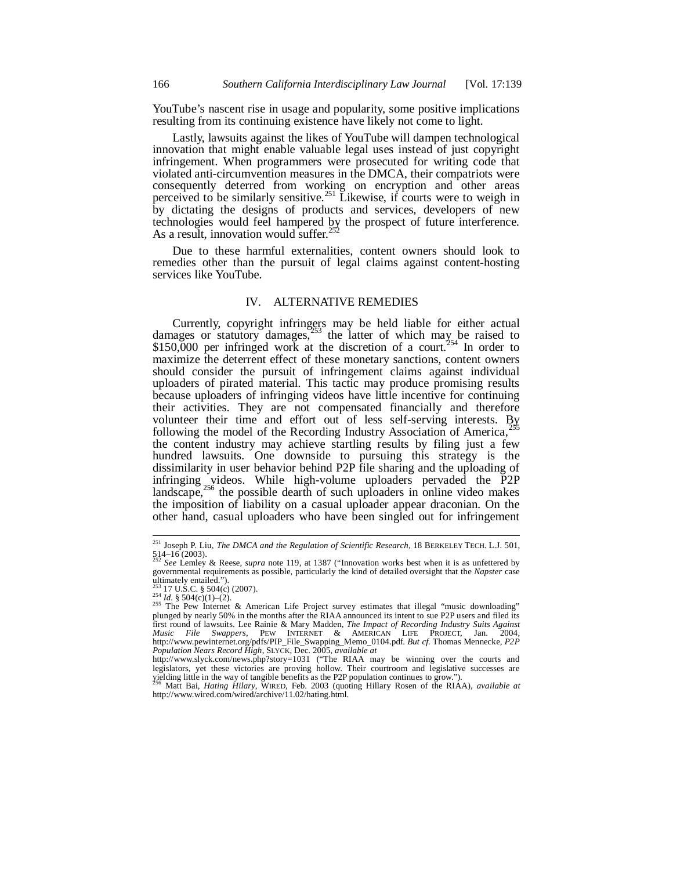YouTube's nascent rise in usage and popularity, some positive implications resulting from its continuing existence have likely not come to light.

Lastly, lawsuits against the likes of YouTube will dampen technological innovation that might enable valuable legal uses instead of just copyright infringement. When programmers were prosecuted for writing code that violated anti-circumvention measures in the DMCA, their compatriots were consequently deterred from working on encryption and other areas perceived to be similarly sensitive.<sup>251</sup> Likewise, if courts were to weigh in by dictating the designs of products and services, developers of new technologies would feel hampered by the prospect of future interference. As a result, innovation would suffer.<sup>25</sup>

Due to these harmful externalities, content owners should look to remedies other than the pursuit of legal claims against content-hosting services like YouTube.

## IV. ALTERNATIVE REMEDIES

Currently, copyright infringers may be held liable for either actual damages or statutory damages, $253$  the latter of which may be raised to \$150,000 per infringed work at the discretion of a court.<sup>254</sup> In order to maximize the deterrent effect of these monetary sanctions, content owners should consider the pursuit of infringement claims against individual uploaders of pirated material. This tactic may produce promising results because uploaders of infringing videos have little incentive for continuing their activities. They are not compensated financially and therefore volunteer their time and effort out of less self-serving interests. By following the model of the Recording Industry Association of America, $^{25}$ the content industry may achieve startling results by filing just a few hundred lawsuits. One downside to pursuing this strategy is the dissimilarity in user behavior behind P2P file sharing and the uploading of infringing videos. While high-volume uploaders pervaded the P2P landscape,<sup>256</sup> the possible dearth of such uploaders in online video makes the imposition of liability on a casual uploader appear draconian. On the other hand, casual uploaders who have been singled out for infringement

<sup>251</sup> Joseph P. Liu, *The DMCA and the Regulation of Scientific Research*, 18 BERKELEY TECH. L.J. 501,  $514-16(2003)$ .

<sup>252</sup> *See* Lemley & Reese, *supra* note 119, at 1387 ("Innovation works best when it is as unfettered by governmental requirements as possible, particularly the kind of detailed oversight that the *Napster* case ultimately entailed.").

<sup>253</sup> 17 U.S.C. § 504(c) (2007). <sup>254</sup> *Id.* § 504(c)(1)–(2).

 $255$  The Pew Internet & American Life Project survey estimates that illegal "music downloading" plunged by nearly 50% in the months after the RIAA announced its intent to sue P2P users and filed its<br>first round of lawsuits. Lee Rainie & Mary Madden, *The Impact of Recording Industry Suits Against*<br>*Music File Swapper* http://www.pewinternet.org/pdfs/PIP\_File\_Swapping\_Memo\_0104.pdf. *But cf.* Thomas Mennecke, *P2P*<br>Population Nears Record High, SLYCK, Dec. 2005, available at<br>http://www.slyck.com/news.php?story=1031 ("The RIAA may be winn

legislators, yet these victories are proving hollow. Their courtroom and legislative successes are yielding little in the way of tangible benefits as the P2P population continues to grow.").<br><sup>256</sup> Matt Bai, *Hating Hilary* 

http://www.wired.com/wired/archive/11.02/hating.html.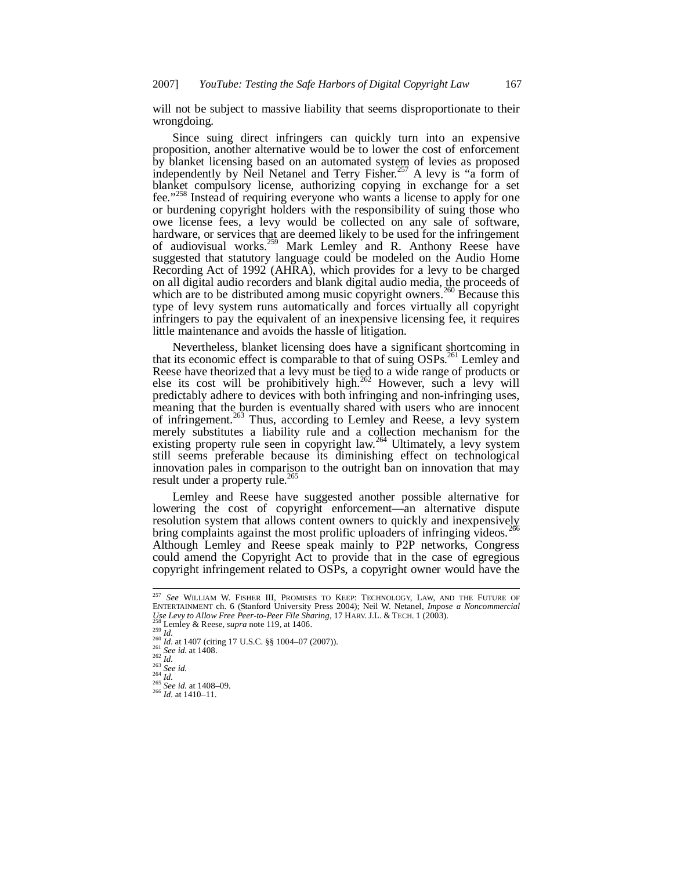will not be subject to massive liability that seems disproportionate to their wrongdoing.

Since suing direct infringers can quickly turn into an expensive proposition, another alternative would be to lower the cost of enforcement by blanket licensing based on an automated system of levies as proposed independently by Neil Netanel and Terry Fisher.<sup>257</sup> A levy is "a form of blanket compulsory license, authorizing copying in exchange for a set fee."<sup>258</sup> Instead of requiring everyone who wants a license to apply for one or burdening copyright holders with the responsibility of suing those who owe license fees, a levy would be collected on any sale of software, hardware, or services that are deemed likely to be used for the infringement of audiovisual works.<sup>259</sup> Mark Lemley and R. Anthony Reese have suggested that statutory language could be modeled on the Audio Home Recording Act of 1992 (AHRA), which provides for a levy to be charged on all digital audio recorders and blank digital audio media, the proceeds of which are to be distributed among music copyright owners.<sup>260</sup> Because this type of levy system runs automatically and forces virtually all copyright infringers to pay the equivalent of an inexpensive licensing fee, it requires little maintenance and avoids the hassle of litigation.

Nevertheless, blanket licensing does have a significant shortcoming in that its economic effect is comparable to that of suing OSPs.<sup>261</sup> Lemley and Reese have theorized that a levy must be tied to a wide range of products or else its cost will be prohibitively high.<sup>262</sup> However, such a levy will predictably adhere to devices with both infringing and non-infringing uses, meaning that the burden is eventually shared with users who are innocent of infringement.<sup>263</sup> Thus, according to Lemley and Reese, a levy system merely substitutes a liability rule and a collection mechanism for the existing property rule seen in copyright law.<sup>264</sup> Ultimately, a levy system still seems preferable because its diminishing effect on technological innovation pales in comparison to the outright ban on innovation that may result under a property rule.<sup>265</sup>

Lemley and Reese have suggested another possible alternative for lowering the cost of copyright enforcement—an alternative dispute resolution system that allows content owners to quickly and inexpensively bring complaints against the most prolific uploaders of infringing videos.<sup>266</sup> Although Lemley and Reese speak mainly to P2P networks, Congress could amend the Copyright Act to provide that in the case of egregious copyright infringement related to OSPs, a copyright owner would have the

<sup>257</sup> *See* WILLIAM W. FISHER III, PROMISES TO KEEP: TECHNOLOGY, LAW, AND THE FUTURE OF ENTERTAINMENT ch. 6 (Stanford University Press 2004); Neil W. Netanel, *Impose a Noncommercial Use Levy to Allow Free Peer-to-Peer File Sharing*, 17 HARV. J.L. & TECH. 1 (2003).

Lemley & Reese, *supra* note 119, at 1406.

 $^{256}$  *L*.

<sup>&</sup>lt;sup>260</sup> *Id.* at 1407 (citing 17 U.S.C. §§ 1004–07 (2007)).<br><sup>261</sup> *See id.* at 1408.

 $rac{262}{262}$  *Id.* 

<sup>263</sup> *See id.* <sup>264</sup> *Id.*

<sup>265</sup> *See id.* at 1408–09. <sup>266</sup> *Id.* at 1410–11.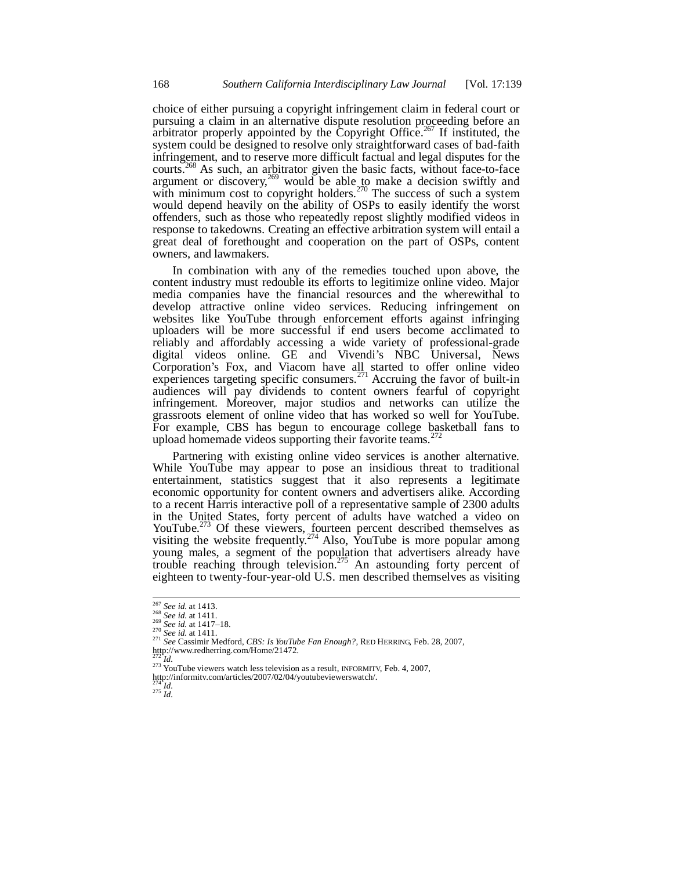choice of either pursuing a copyright infringement claim in federal court or pursuing a claim in an alternative dispute resolution proceeding before an arbitrator properly appointed by the Copyright Office.<sup>267</sup> If instituted, the system could be designed to resolve only straightforward cases of bad-faith infringement, and to reserve more difficult factual and legal disputes for the courts.<sup>268</sup> As such, an arbitrator given the basic facts, without face-to-face argument or discovery,  $^{269}$  would be able to make a decision swiftly and with minimum cost to copyright holders.<sup>270</sup> The success of such a system would depend heavily on the ability of OSPs to easily identify the worst offenders, such as those who repeatedly repost slightly modified videos in response to takedowns. Creating an effective arbitration system will entail a great deal of forethought and cooperation on the part of OSPs, content owners, and lawmakers.

In combination with any of the remedies touched upon above, the content industry must redouble its efforts to legitimize online video. Major media companies have the financial resources and the wherewithal to develop attractive online video services. Reducing infringement on websites like YouTube through enforcement efforts against infringing uploaders will be more successful if end users become acclimated to reliably and affordably accessing a wide variety of professional-grade digital videos online. GE and Vivendi's NBC Universal, News Corporation's Fox, and Viacom have all started to offer online video experiences targeting specific consumers.<sup>271</sup> Accruing the favor of built-in audiences will pay dividends to content owners fearful of copyright infringement. Moreover, major studios and networks can utilize the grassroots element of online video that has worked so well for YouTube. For example, CBS has begun to encourage college basketball fans to upload homemade videos supporting their favorite teams.<sup>272</sup>

Partnering with existing online video services is another alternative. While YouTube may appear to pose an insidious threat to traditional entertainment, statistics suggest that it also represents a legitimate economic opportunity for content owners and advertisers alike. According to a recent Harris interactive poll of a representative sample of 2300 adults in the United States, forty percent of adults have watched a video on YouTube.<sup>273</sup> Of these viewers, fourteen percent described themselves as visiting the website frequently.<sup>274</sup> Also, YouTube is more popular among young males, a segment of the population that advertisers already have trouble reaching through television.<sup>275</sup> An astounding forty percent of eighteen to twenty-four-year-old U.S. men described themselves as visiting

 $^{274}$ <sup>1</sup>*d*. <sup>275</sup> *Id.*

<sup>267</sup> *See id.* at 1413.

<sup>268</sup> *See id.* at 1411. <sup>269</sup> *See id.* at 1417–18.

<sup>270</sup> *See id.* at 1411.

<sup>271</sup> *See* Cassimir Medford, *CBS: Is YouTube Fan Enough?*, RED HERRING, Feb. 28, 2007, http://www.redherring.com/Home/21472*.* <sup>272</sup> *Id.*

<sup>&</sup>lt;sup>273</sup> YouTube viewers watch less television as a result, INFORMITV, Feb. 4, 2007,

http://informitv.com/articles/2007/02/04/youtubeviewerswatch/.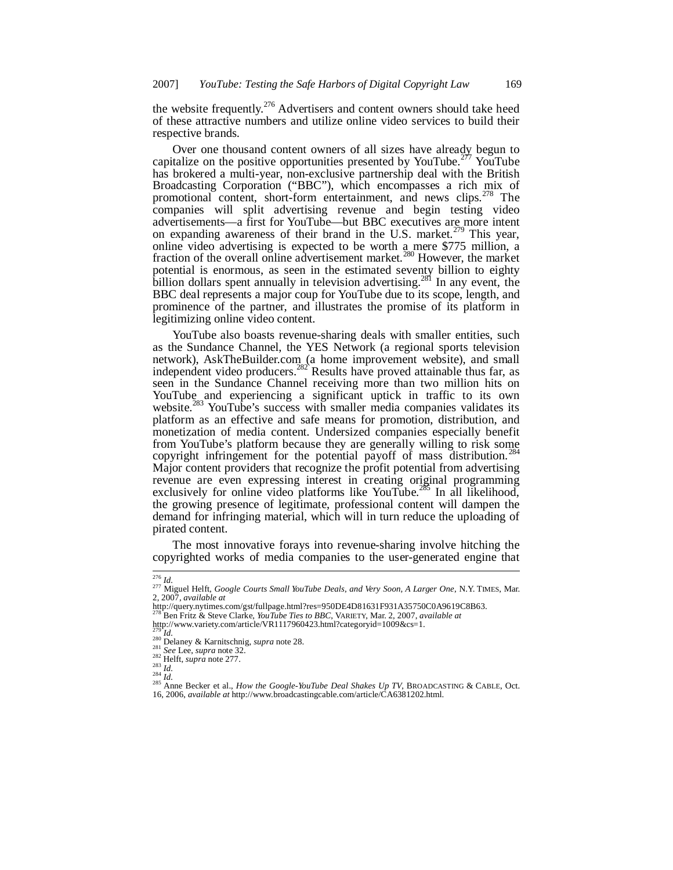the website frequently.<sup>276</sup> Advertisers and content owners should take heed of these attractive numbers and utilize online video services to build their respective brands.

Over one thousand content owners of all sizes have already begun to capitalize on the positive opportunities presented by YouTube.<sup>277</sup> YouTube. has brokered a multi-year, non-exclusive partnership deal with the British Broadcasting Corporation ("BBC"), which encompasses a rich mix of promotional content, short-form entertainment, and news clips.<sup>278</sup> The companies will split advertising revenue and begin testing video advertisements—a first for YouTube—but BBC executives are more intent on expanding awareness of their brand in the U.S. market.<sup> $279$ </sup> This year, online video advertising is expected to be worth a mere \$775 million, a fraction of the overall online advertisement market.<sup>280</sup> However, the market potential is enormous, as seen in the estimated seventy billion to eighty billion dollars spent annually in television advertising.<sup>281</sup> In any event, the BBC deal represents a major coup for YouTube due to its scope, length, and prominence of the partner, and illustrates the promise of its platform in legitimizing online video content.

YouTube also boasts revenue-sharing deals with smaller entities, such as the Sundance Channel, the YES Network (a regional sports television network), AskTheBuilder.com (a home improvement website), and small independent video producers.<sup>282</sup> Results have proved attainable thus far, as seen in the Sundance Channel receiving more than two million hits on YouTube and experiencing a significant uptick in traffic to its own website.<sup>283</sup> YouTube's success with smaller media companies validates its platform as an effective and safe means for promotion, distribution, and monetization of media content. Undersized companies especially benefit from YouTube's platform because they are generally willing to risk some copyright infringement for the potential payoff of mass distribution.<sup>2</sup> Major content providers that recognize the profit potential from advertising revenue are even expressing interest in creating original programming exclusively for online video platforms like YouTube.<sup>285</sup> In all likelihood, the growing presence of legitimate, professional content will dampen the demand for infringing material, which will in turn reduce the uploading of pirated content.

The most innovative forays into revenue-sharing involve hitching the copyrighted works of media companies to the user-generated engine that

 $^{279}$ <sup>1</sup>*d*.

<sup>276</sup> *Id.*

<sup>277</sup> Miguel Helft, *Google Courts Small YouTube Deals*, *and Very Soon, A Larger One*, N.Y. TIMES, Mar. 2, 2007, *available at*

http://query.nytimes.com/gst/fullpage.html?res=950DE4D81631F931A35750C0A9619C8B63.

<sup>278</sup> Ben Fritz & Steve Clarke, *YouTube Ties to BBC*, VARIETY, Mar. 2, 2007, *available at* http://www.variety.com/article/VR1117960423.html?categoryid=1009&cs=1.

<sup>280</sup> Delaney & Karnitschnig, *supra* note 28. <sup>281</sup> *See* Lee, *supra* note 32. <sup>282</sup> Helft, *supra* note 277.

<sup>283</sup> *Id.* <sup>284</sup> *Id.* <sup>285</sup> Anne Becker et al., *How the Google-YouTube Deal Shakes Up TV*, BROADCASTING & CABLE, Oct. 16, 2006, *available at* http://www.broadcastingcable.com/article/CA6381202.html.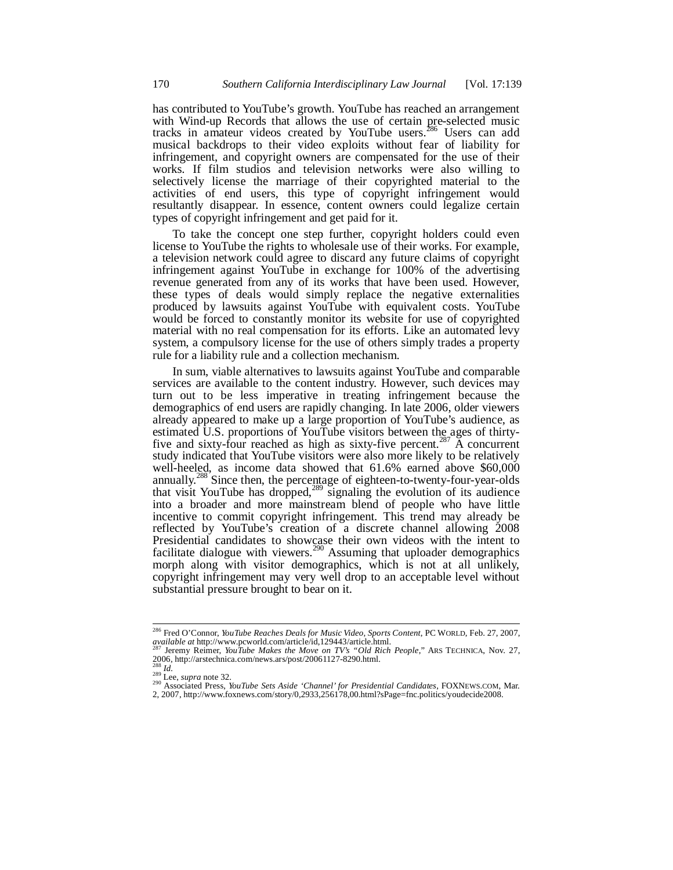has contributed to YouTube's growth. YouTube has reached an arrangement with Wind-up Records that allows the use of certain pre-selected music tracks in amateur videos created by YouTube users.<sup>286</sup> Users can add musical backdrops to their video exploits without fear of liability for infringement, and copyright owners are compensated for the use of their works. If film studios and television networks were also willing to selectively license the marriage of their copyrighted material to the activities of end users, this type of copyright infringement would resultantly disappear. In essence, content owners could legalize certain types of copyright infringement and get paid for it.

To take the concept one step further, copyright holders could even license to YouTube the rights to wholesale use of their works. For example, a television network could agree to discard any future claims of copyright infringement against YouTube in exchange for 100% of the advertising revenue generated from any of its works that have been used. However, these types of deals would simply replace the negative externalities produced by lawsuits against YouTube with equivalent costs. YouTube would be forced to constantly monitor its website for use of copyrighted material with no real compensation for its efforts. Like an automated levy system, a compulsory license for the use of others simply trades a property rule for a liability rule and a collection mechanism.

In sum, viable alternatives to lawsuits against YouTube and comparable services are available to the content industry. However, such devices may turn out to be less imperative in treating infringement because the demographics of end users are rapidly changing. In late 2006, older viewers already appeared to make up a large proportion of YouTube's audience, as estimated U.S. proportions of YouTube visitors between the ages of thirtyfive and sixty-four reached as high as sixty-five percent.<sup>287</sup> A concurrent study indicated that YouTube visitors were also more likely to be relatively well-heeled, as income data showed that 61.6% earned above \$60,000 annually.<sup>288</sup> Since then, the percentage of eighteen-to-twenty-four-year-olds that visit YouTube has dropped, $289$  signaling the evolution of its audience into a broader and more mainstream blend of people who have little incentive to commit copyright infringement. This trend may already be reflected by YouTube's creation of a discrete channel allowing 2008 Presidential candidates to showcase their own videos with the intent to facilitate dialogue with viewers.<sup>290</sup> Assuming that uploader demographics morph along with visitor demographics, which is not at all unlikely, copyright infringement may very well drop to an acceptable level without substantial pressure brought to bear on it.

<sup>286</sup> Fred O'Connor, *YouTube Reaches Deals for Music Video, Sports Content*, PC WORLD, Feb. 27, 2007, *available at* http://www.pcworld.com/article/id,129443/article.html.

<sup>287</sup> Jeremy Reimer, *YouTube Makes the Move on TV's "Old Rich People*," ARS TECHNICA, Nov. 27, 2006, http://arstechnica.com/news.ars/post/20061127-8290.html.

<sup>288</sup> *Id.* <sup>289</sup> Lee, *supra* note 32. <sup>290</sup> Associated Press, *YouTube Sets Aside 'Channel' for Presidential Candidates*, FOXNEWS.COM, Mar. 2, 2007, http://www.foxnews.com/story/0,2933,256178,00.html?sPage=fnc.politics/youdecide2008.